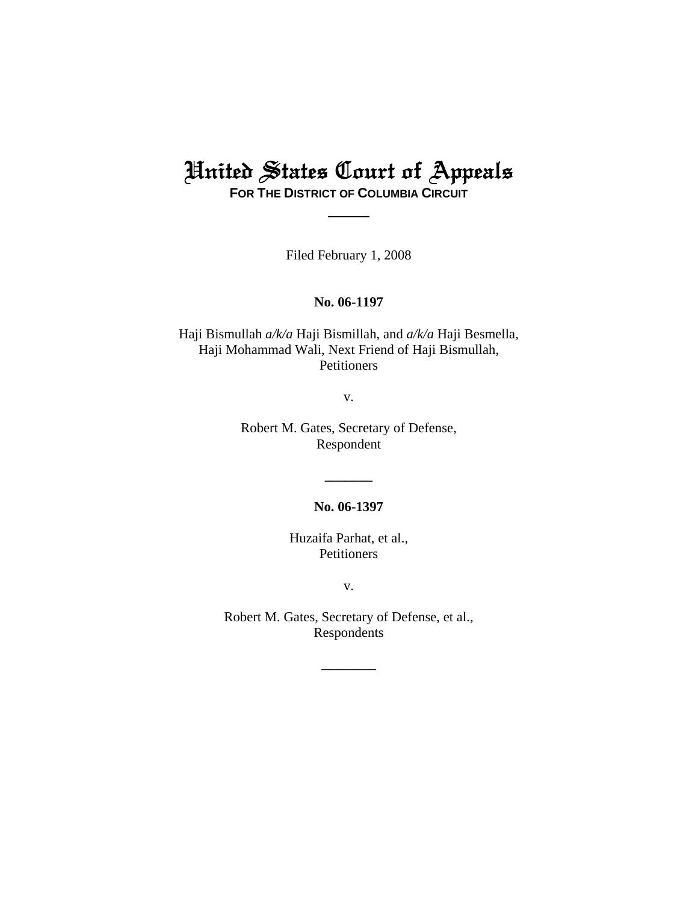# United States Court of Appeals

**FOR THE DISTRICT OF COLUMBIA CIRCUIT**

Filed February 1, 2008

## **No. 06-1197**

Haji Bismullah *a/k/a* Haji Bismillah, and *a/k/a* Haji Besmella, Haji Mohammad Wali, Next Friend of Haji Bismullah, Petitioners

v.

Robert M. Gates, Secretary of Defense, Respondent

**No. 06-1397**

**\_\_\_\_\_\_\_**

Huzaifa Parhat, et al., **Petitioners** 

v.

Robert M. Gates, Secretary of Defense, et al., Respondents

**\_\_\_\_\_\_\_\_**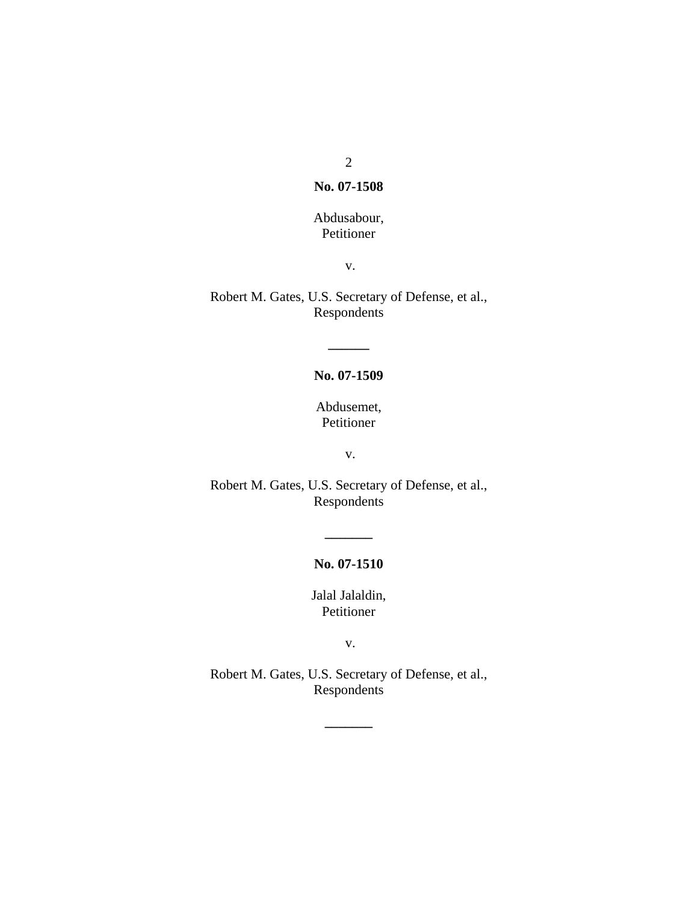2

### **No. 07-1508**

# Abdusabour, Petitioner

v.

Robert M. Gates, U.S. Secretary of Defense, et al., Respondents

# **No. 07-1509**

**\_\_\_\_\_\_**

Abdusemet, Petitioner

v.

Robert M. Gates, U.S. Secretary of Defense, et al., Respondents

# **No. 07-1510**

**\_\_\_\_\_\_\_**

Jalal Jalaldin, Petitioner

v.

Robert M. Gates, U.S. Secretary of Defense, et al., Respondents

**\_\_\_\_\_\_\_**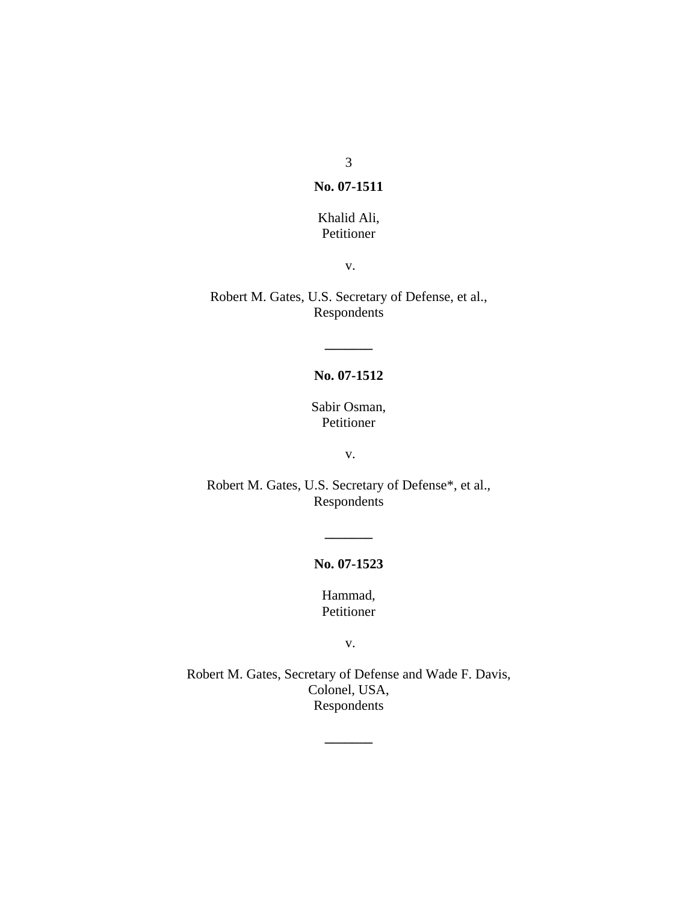3

#### **No. 07-1511**

# Khalid Ali, Petitioner

v.

Robert M. Gates, U.S. Secretary of Defense, et al., Respondents

# **No. 07-1512**

**\_\_\_\_\_\_\_**

Sabir Osman, Petitioner

v.

Robert M. Gates, U.S. Secretary of Defense\*, et al., Respondents

## **No. 07-1523**

**\_\_\_\_\_\_\_**

Hammad, Petitioner

v.

Robert M. Gates, Secretary of Defense and Wade F. Davis, Colonel, USA, Respondents

**\_\_\_\_\_\_\_**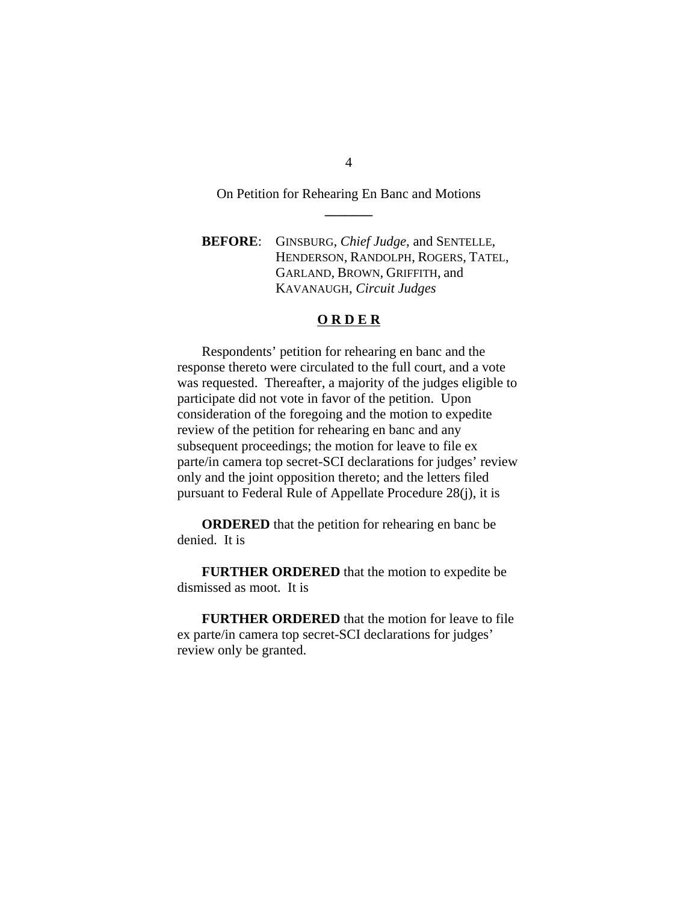On Petition for Rehearing En Banc and Motions **\_\_\_\_\_\_\_**

**BEFORE**: GINSBURG, *Chief Judge*, and SENTELLE, HENDERSON, RANDOLPH, ROGERS, TATEL, GARLAND, BROWN, GRIFFITH, and KAVANAUGH, *Circuit Judges*

## **O R D E R**

Respondents' petition for rehearing en banc and the response thereto were circulated to the full court, and a vote was requested. Thereafter, a majority of the judges eligible to participate did not vote in favor of the petition. Upon consideration of the foregoing and the motion to expedite review of the petition for rehearing en banc and any subsequent proceedings; the motion for leave to file ex parte/in camera top secret-SCI declarations for judges' review only and the joint opposition thereto; and the letters filed pursuant to Federal Rule of Appellate Procedure 28(j), it is

**ORDERED** that the petition for rehearing en banc be denied. It is

**FURTHER ORDERED** that the motion to expedite be dismissed as moot. It is

**FURTHER ORDERED** that the motion for leave to file ex parte/in camera top secret-SCI declarations for judges' review only be granted.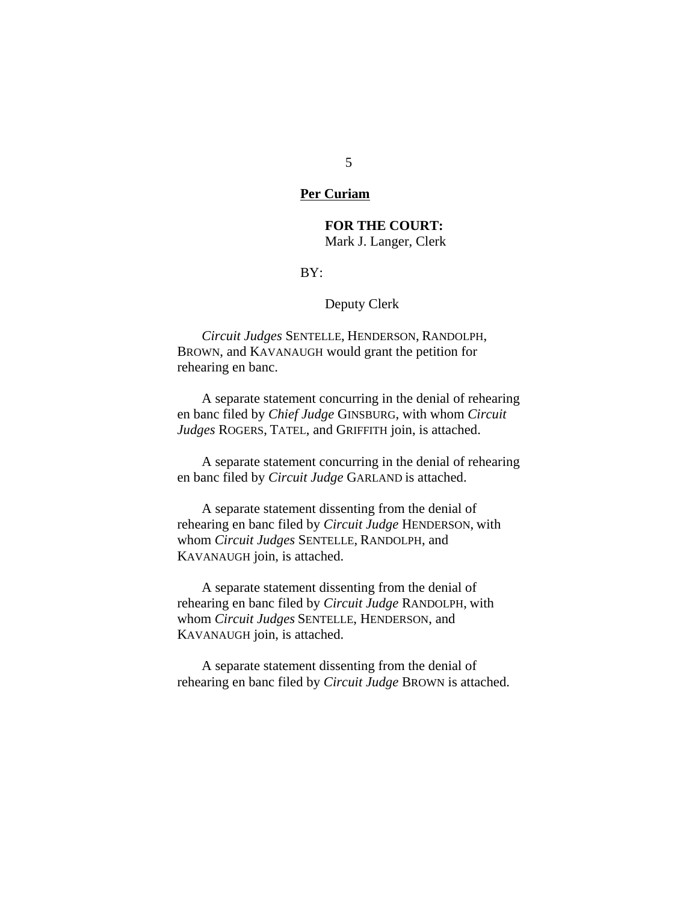#### **Per Curiam**

## **FOR THE COURT:** Mark J. Langer, Clerk

#### BY:

#### Deputy Clerk

*Circuit Judges* SENTELLE, HENDERSON, RANDOLPH, BROWN, and KAVANAUGH would grant the petition for rehearing en banc.

A separate statement concurring in the denial of rehearing en banc filed by *Chief Judge* GINSBURG, with whom *Circuit Judges* ROGERS, TATEL, and GRIFFITH join, is attached.

A separate statement concurring in the denial of rehearing en banc filed by *Circuit Judge* GARLAND is attached.

A separate statement dissenting from the denial of rehearing en banc filed by *Circuit Judge* HENDERSON, with whom *Circuit Judges* SENTELLE, RANDOLPH, and KAVANAUGH join, is attached.

A separate statement dissenting from the denial of rehearing en banc filed by *Circuit Judge* RANDOLPH, with whom *Circuit Judges* SENTELLE, HENDERSON, and KAVANAUGH join, is attached.

A separate statement dissenting from the denial of rehearing en banc filed by *Circuit Judge* BROWN is attached.

5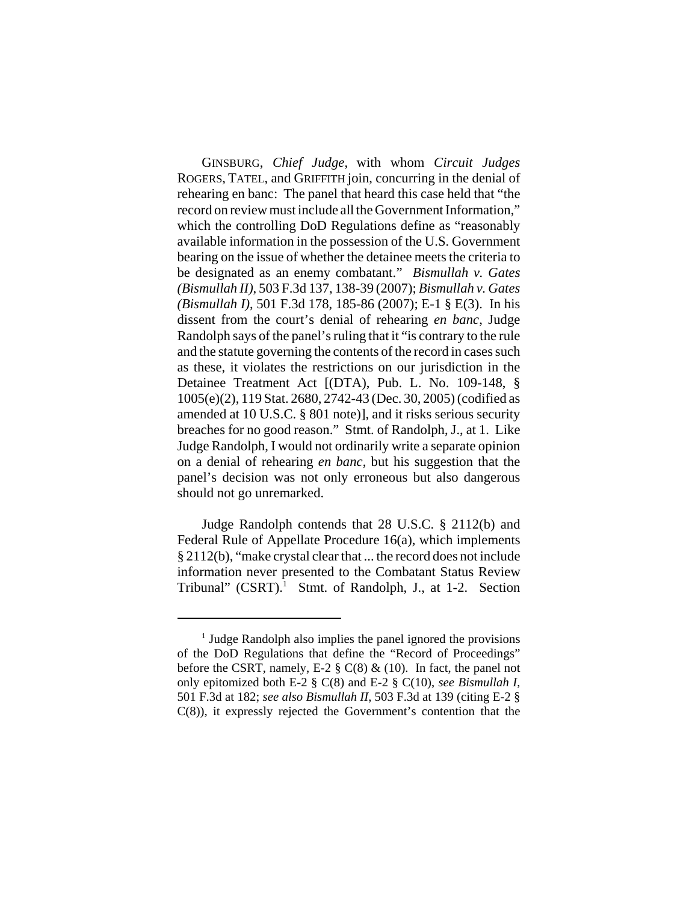GINSBURG, *Chief Judge*, with whom *Circuit Judges* ROGERS, TATEL, and GRIFFITH join, concurring in the denial of rehearing en banc: The panel that heard this case held that "the record on review must include all the Government Information," which the controlling DoD Regulations define as "reasonably available information in the possession of the U.S. Government bearing on the issue of whether the detainee meets the criteria to be designated as an enemy combatant." *Bismullah v. Gates (Bismullah II)*, 503 F.3d 137, 138-39 (2007); *Bismullah v. Gates (Bismullah I)*, 501 F.3d 178, 185-86 (2007); E-1 § E(3). In his dissent from the court's denial of rehearing *en banc*, Judge Randolph says of the panel's ruling that it "is contrary to the rule and the statute governing the contents of the record in cases such as these, it violates the restrictions on our jurisdiction in the Detainee Treatment Act [(DTA), Pub. L. No. 109-148, § 1005(e)(2), 119 Stat. 2680, 2742-43 (Dec. 30, 2005) (codified as amended at 10 U.S.C. § 801 note)], and it risks serious security breaches for no good reason." Stmt. of Randolph, J., at 1. Like Judge Randolph, I would not ordinarily write a separate opinion on a denial of rehearing *en banc*, but his suggestion that the panel's decision was not only erroneous but also dangerous should not go unremarked.

Judge Randolph contends that 28 U.S.C. § 2112(b) and Federal Rule of Appellate Procedure 16(a), which implements § 2112(b), "make crystal clear that ... the record does not include information never presented to the Combatant Status Review Tribunal" (CSRT).<sup>1</sup> Stmt. of Randolph, J., at 1-2. Section

<sup>&</sup>lt;sup>1</sup> Judge Randolph also implies the panel ignored the provisions of the DoD Regulations that define the "Record of Proceedings" before the CSRT, namely, E-2  $\S$  C(8) & (10). In fact, the panel not only epitomized both E-2 § C(8) and E-2 § C(10), *see Bismullah I*, 501 F.3d at 182; *see also Bismullah II*, 503 F.3d at 139 (citing E-2 § C(8)), it expressly rejected the Government's contention that the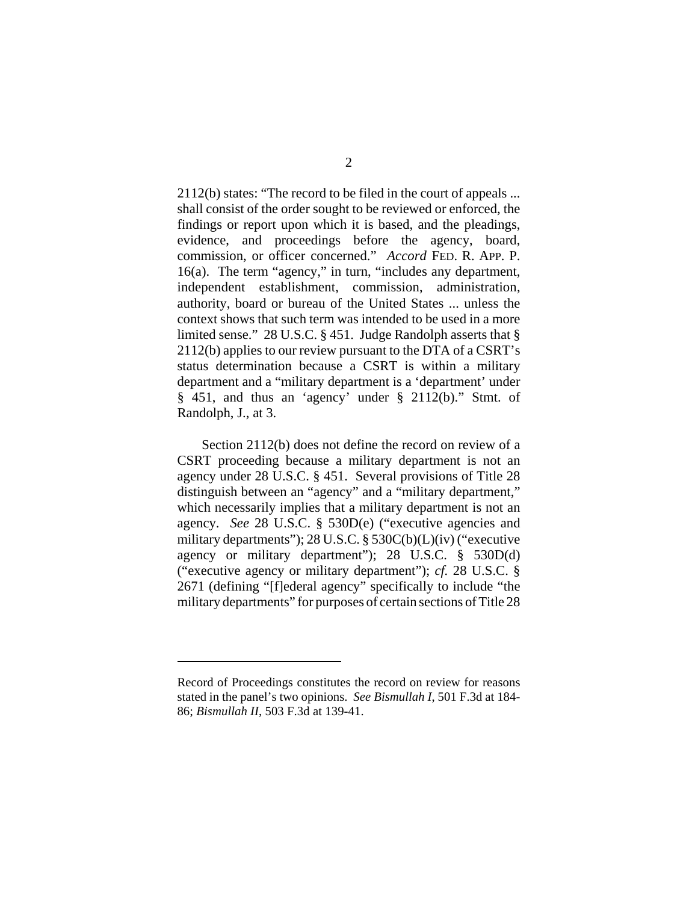2112(b) states: "The record to be filed in the court of appeals ... shall consist of the order sought to be reviewed or enforced, the findings or report upon which it is based, and the pleadings, evidence, and proceedings before the agency, board, commission, or officer concerned." *Accord* FED. R. APP. P. 16(a). The term "agency," in turn, "includes any department, independent establishment, commission, administration, authority, board or bureau of the United States ... unless the context shows that such term was intended to be used in a more limited sense." 28 U.S.C. § 451. Judge Randolph asserts that § 2112(b) applies to our review pursuant to the DTA of a CSRT's status determination because a CSRT is within a military department and a "military department is a 'department' under § 451, and thus an 'agency' under § 2112(b)." Stmt. of Randolph, J., at 3.

Section 2112(b) does not define the record on review of a CSRT proceeding because a military department is not an agency under 28 U.S.C. § 451. Several provisions of Title 28 distinguish between an "agency" and a "military department," which necessarily implies that a military department is not an agency. *See* 28 U.S.C. § 530D(e) ("executive agencies and military departments"); 28 U.S.C. § 530C(b)(L)(iv) ("executive agency or military department"); 28 U.S.C. § 530D(d) ("executive agency or military department"); *cf.* 28 U.S.C. § 2671 (defining "[f]ederal agency" specifically to include "the military departments" for purposes of certain sections of Title 28

Record of Proceedings constitutes the record on review for reasons stated in the panel's two opinions. *See Bismullah I*, 501 F.3d at 184- 86; *Bismullah II*, 503 F.3d at 139-41.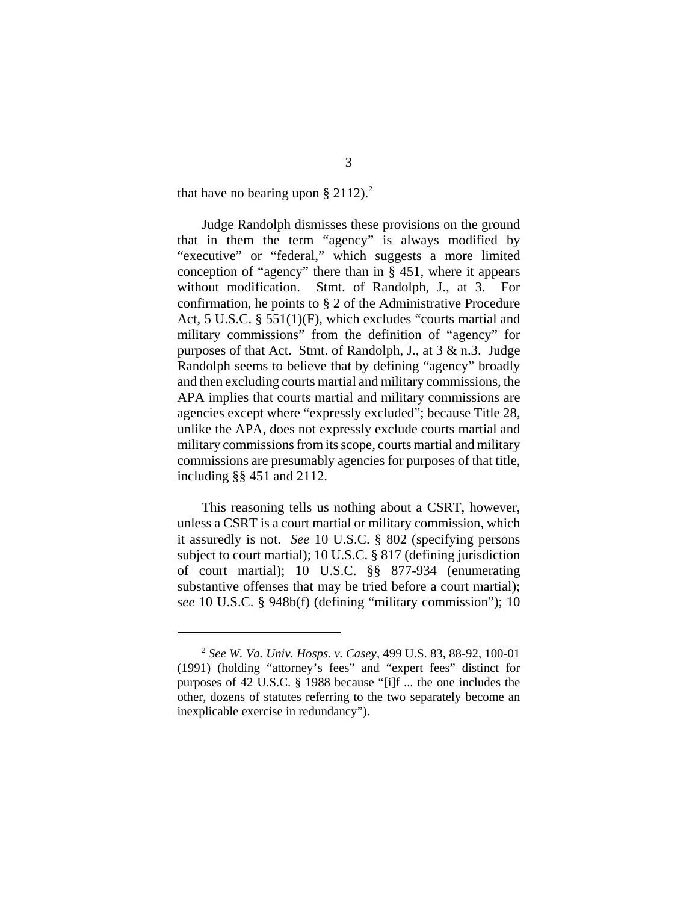that have no bearing upon § 2112).<sup>2</sup>

Judge Randolph dismisses these provisions on the ground that in them the term "agency" is always modified by "executive" or "federal," which suggests a more limited conception of "agency" there than in § 451, where it appears without modification. Stmt. of Randolph, J., at 3. For confirmation, he points to § 2 of the Administrative Procedure Act, 5 U.S.C. § 551(1)(F), which excludes "courts martial and military commissions" from the definition of "agency" for purposes of that Act. Stmt. of Randolph, J., at 3 & n.3. Judge Randolph seems to believe that by defining "agency" broadly and then excluding courts martial and military commissions, the APA implies that courts martial and military commissions are agencies except where "expressly excluded"; because Title 28, unlike the APA, does not expressly exclude courts martial and military commissions from its scope, courts martial and military commissions are presumably agencies for purposes of that title, including §§ 451 and 2112.

This reasoning tells us nothing about a CSRT, however, unless a CSRT is a court martial or military commission, which it assuredly is not. *See* 10 U.S.C. § 802 (specifying persons subject to court martial); 10 U.S.C. § 817 (defining jurisdiction of court martial); 10 U.S.C. §§ 877-934 (enumerating substantive offenses that may be tried before a court martial); *see* 10 U.S.C. § 948b(f) (defining "military commission"); 10

<sup>2</sup> *See W. Va. Univ. Hosps. v. Casey*, 499 U.S. 83, 88-92, 100-01 (1991) (holding "attorney's fees" and "expert fees" distinct for purposes of 42 U.S.C. § 1988 because "[i]f ... the one includes the other, dozens of statutes referring to the two separately become an inexplicable exercise in redundancy").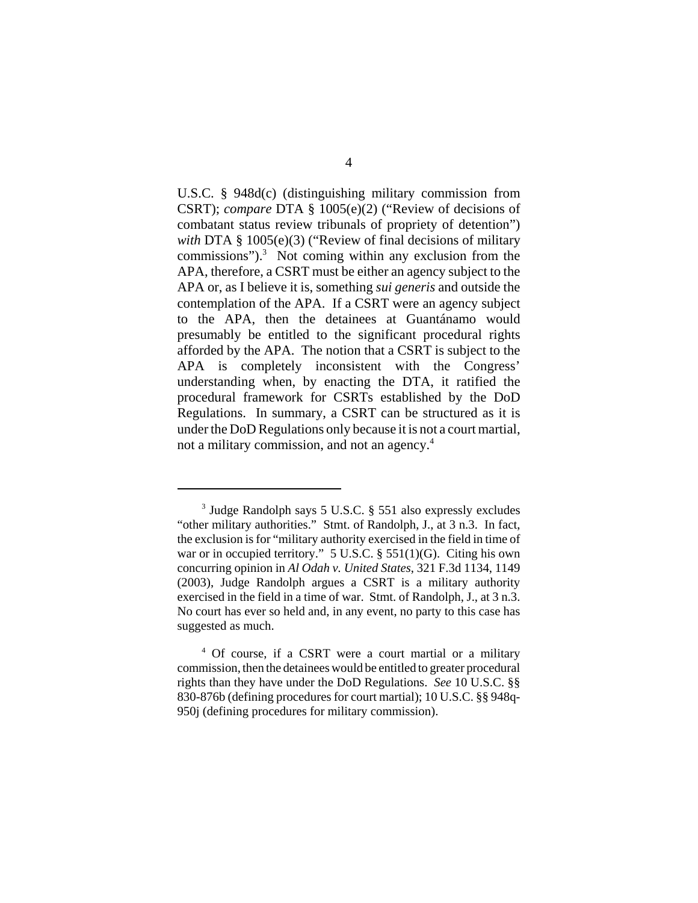U.S.C. § 948d(c) (distinguishing military commission from CSRT); *compare* DTA § 1005(e)(2) ("Review of decisions of combatant status review tribunals of propriety of detention") *with* DTA § 1005(e)(3) ("Review of final decisions of military commissions"). $3$  Not coming within any exclusion from the APA, therefore, a CSRT must be either an agency subject to the APA or, as I believe it is, something *sui generis* and outside the contemplation of the APA. If a CSRT were an agency subject to the APA, then the detainees at Guantánamo would presumably be entitled to the significant procedural rights afforded by the APA. The notion that a CSRT is subject to the APA is completely inconsistent with the Congress' understanding when, by enacting the DTA, it ratified the procedural framework for CSRTs established by the DoD Regulations. In summary, a CSRT can be structured as it is under the DoD Regulations only because it is not a court martial, not a military commission, and not an agency.<sup>4</sup>

<sup>3</sup> Judge Randolph says 5 U.S.C. § 551 also expressly excludes "other military authorities." Stmt. of Randolph, J., at 3 n.3. In fact, the exclusion is for "military authority exercised in the field in time of war or in occupied territory." 5 U.S.C. § 551(1)(G). Citing his own concurring opinion in *Al Odah v. United States*, 321 F.3d 1134, 1149 (2003), Judge Randolph argues a CSRT is a military authority exercised in the field in a time of war. Stmt. of Randolph, J., at 3 n.3. No court has ever so held and, in any event, no party to this case has suggested as much.

<sup>4</sup> Of course, if a CSRT were a court martial or a military commission, then the detainees would be entitled to greater procedural rights than they have under the DoD Regulations. *See* 10 U.S.C. §§ 830-876b (defining procedures for court martial); 10 U.S.C. §§ 948q-950j (defining procedures for military commission).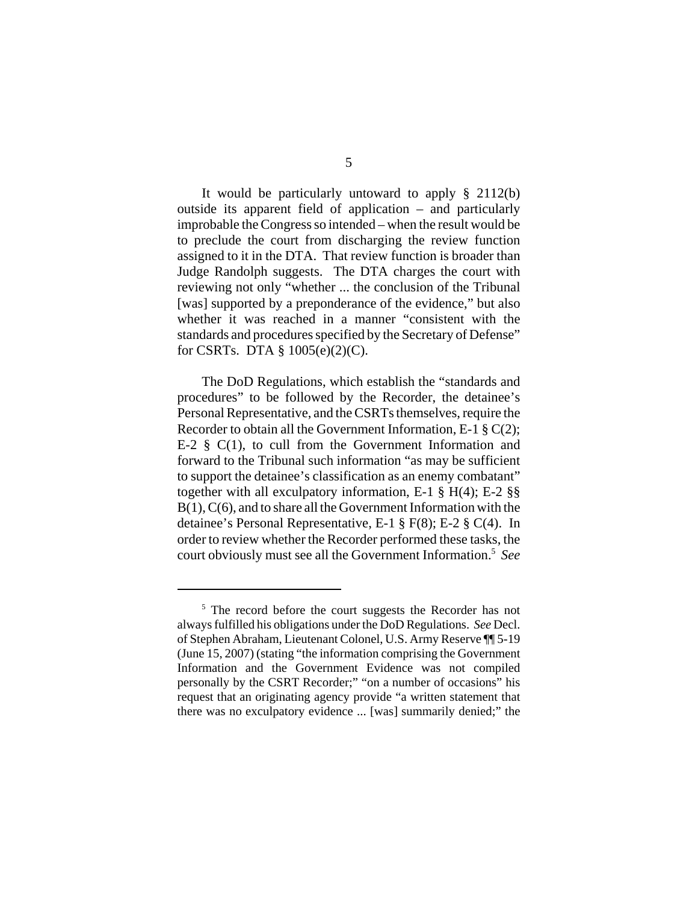It would be particularly untoward to apply § 2112(b) outside its apparent field of application – and particularly improbable the Congress so intended – when the result would be to preclude the court from discharging the review function assigned to it in the DTA. That review function is broader than Judge Randolph suggests. The DTA charges the court with reviewing not only "whether ... the conclusion of the Tribunal [was] supported by a preponderance of the evidence," but also whether it was reached in a manner "consistent with the standards and procedures specified by the Secretary of Defense" for CSRTs. DTA § 1005(e)(2)(C).

The DoD Regulations, which establish the "standards and procedures" to be followed by the Recorder, the detainee's Personal Representative, and the CSRTs themselves, require the Recorder to obtain all the Government Information, E-1  $\S$  C(2); E-2  $\S$  C(1), to cull from the Government Information and forward to the Tribunal such information "as may be sufficient to support the detainee's classification as an enemy combatant" together with all exculpatory information, E-1 § H(4); E-2 §§ B(1), C(6), and to share all the Government Information with the detainee's Personal Representative, E-1 § F(8); E-2 § C(4). In order to review whether the Recorder performed these tasks, the court obviously must see all the Government Information.5 *See*

<sup>&</sup>lt;sup>5</sup> The record before the court suggests the Recorder has not always fulfilled his obligations under the DoD Regulations. *See* Decl. of Stephen Abraham, Lieutenant Colonel, U.S. Army Reserve ¶¶ 5-19 (June 15, 2007) (stating "the information comprising the Government Information and the Government Evidence was not compiled personally by the CSRT Recorder;" "on a number of occasions" his request that an originating agency provide "a written statement that there was no exculpatory evidence ... [was] summarily denied;" the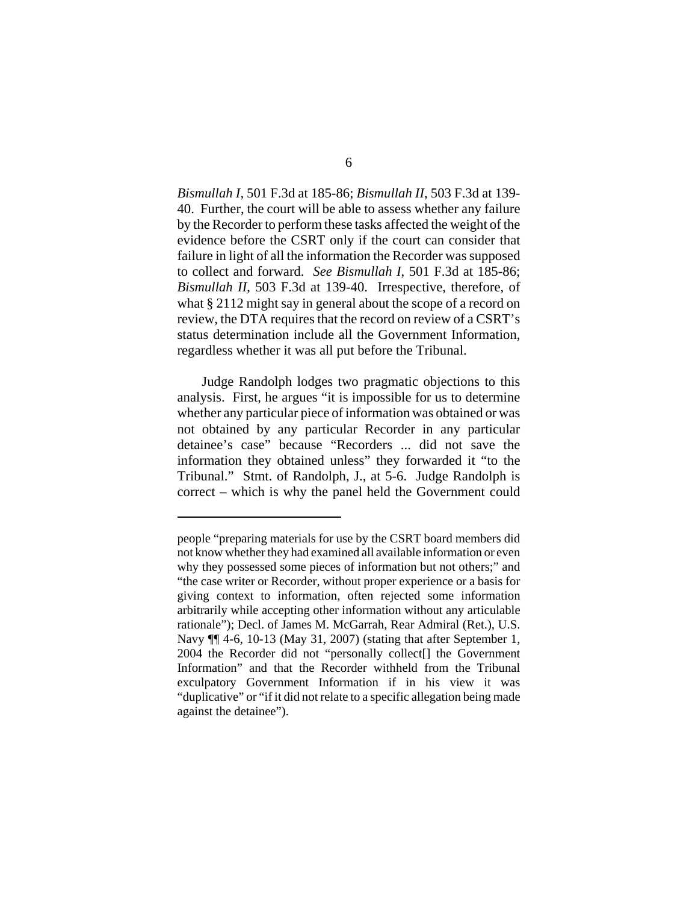*Bismullah I*, 501 F.3d at 185-86; *Bismullah II*, 503 F.3d at 139- 40. Further, the court will be able to assess whether any failure by the Recorder to perform these tasks affected the weight of the evidence before the CSRT only if the court can consider that failure in light of all the information the Recorder was supposed to collect and forward. *See Bismullah I*, 501 F.3d at 185-86; *Bismullah II*, 503 F.3d at 139-40. Irrespective, therefore, of what § 2112 might say in general about the scope of a record on review, the DTA requires that the record on review of a CSRT's status determination include all the Government Information, regardless whether it was all put before the Tribunal.

Judge Randolph lodges two pragmatic objections to this analysis. First, he argues "it is impossible for us to determine whether any particular piece of information was obtained or was not obtained by any particular Recorder in any particular detainee's case" because "Recorders ... did not save the information they obtained unless" they forwarded it "to the Tribunal." Stmt. of Randolph, J., at 5-6. Judge Randolph is correct – which is why the panel held the Government could

people "preparing materials for use by the CSRT board members did not know whether they had examined all available information or even why they possessed some pieces of information but not others;" and "the case writer or Recorder, without proper experience or a basis for giving context to information, often rejected some information arbitrarily while accepting other information without any articulable rationale"); Decl. of James M. McGarrah, Rear Admiral (Ret.), U.S. Navy ¶¶ 4-6, 10-13 (May 31, 2007) (stating that after September 1, 2004 the Recorder did not "personally collect<sup>[]</sup> the Government Information" and that the Recorder withheld from the Tribunal exculpatory Government Information if in his view it was "duplicative" or "if it did not relate to a specific allegation being made against the detainee").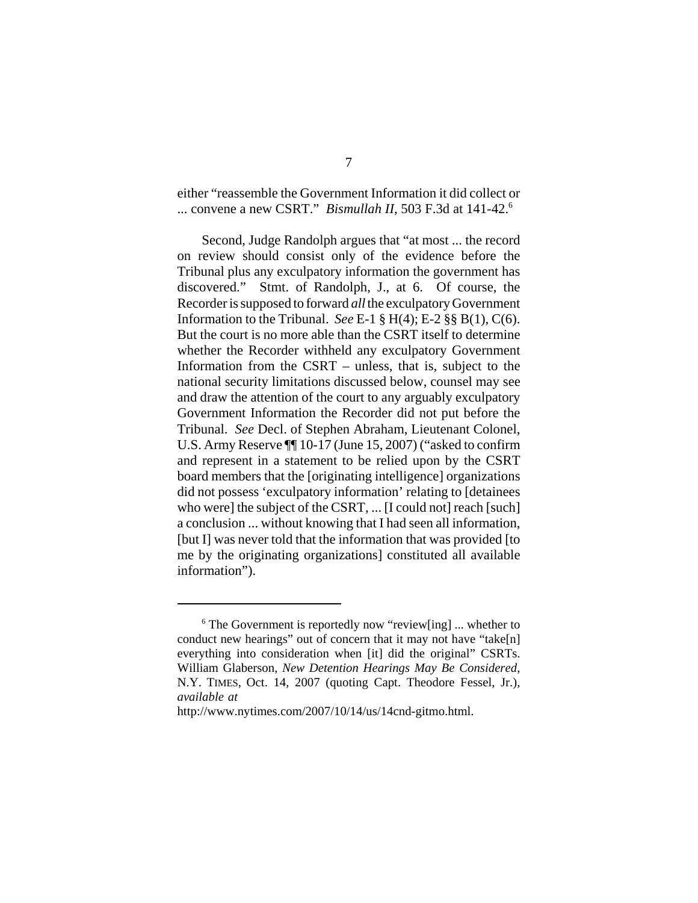either "reassemble the Government Information it did collect or ... convene a new CSRT." *Bismullah II*, 503 F.3d at 141-42.6

Second, Judge Randolph argues that "at most ... the record on review should consist only of the evidence before the Tribunal plus any exculpatory information the government has discovered." Stmt. of Randolph, J., at 6. Of course, the Recorder is supposed to forward *all* the exculpatory Government Information to the Tribunal. *See* E-1  $\S$  H(4); E-2  $\S$ § B(1), C(6). But the court is no more able than the CSRT itself to determine whether the Recorder withheld any exculpatory Government Information from the CSRT – unless, that is, subject to the national security limitations discussed below, counsel may see and draw the attention of the court to any arguably exculpatory Government Information the Recorder did not put before the Tribunal. *See* Decl. of Stephen Abraham, Lieutenant Colonel, U.S. Army Reserve ¶¶ 10-17 (June 15, 2007) ("asked to confirm and represent in a statement to be relied upon by the CSRT board members that the [originating intelligence] organizations did not possess 'exculpatory information' relating to [detainees who were] the subject of the CSRT, ... [I could not] reach [such] a conclusion ... without knowing that I had seen all information, [but I] was never told that the information that was provided [to me by the originating organizations] constituted all available information").

 $6$  The Government is reportedly now "review[ing] ... whether to conduct new hearings" out of concern that it may not have "take[n] everything into consideration when [it] did the original" CSRTs. William Glaberson, *New Detention Hearings May Be Considered*, N.Y. TIMES, Oct. 14, 2007 (quoting Capt. Theodore Fessel, Jr.), *available at* 

http://www.nytimes.com/2007/10/14/us/14cnd-gitmo.html.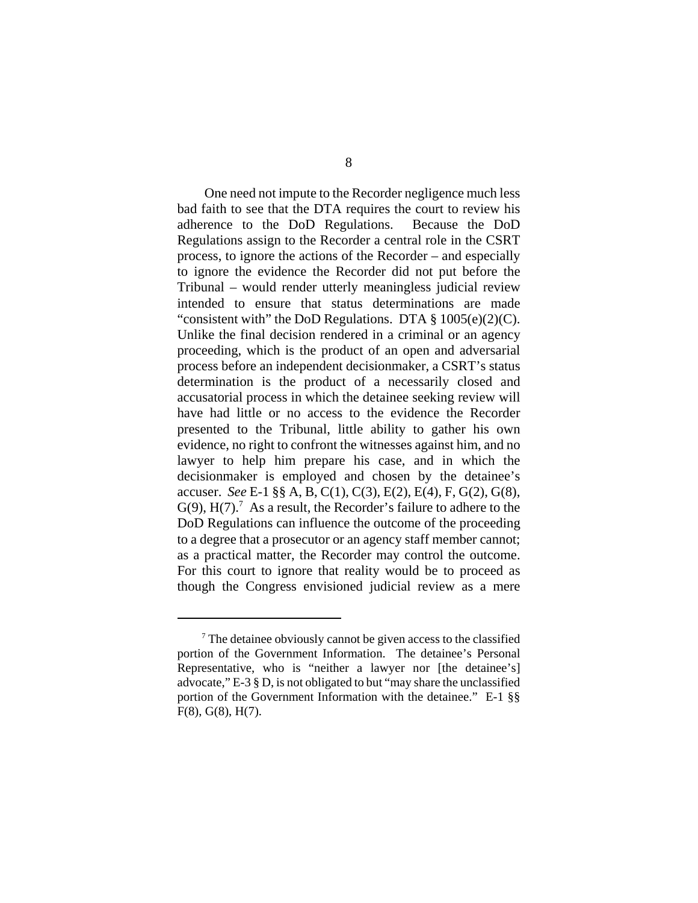One need not impute to the Recorder negligence much less bad faith to see that the DTA requires the court to review his adherence to the DoD Regulations. Because the DoD Regulations assign to the Recorder a central role in the CSRT process, to ignore the actions of the Recorder – and especially to ignore the evidence the Recorder did not put before the Tribunal – would render utterly meaningless judicial review intended to ensure that status determinations are made "consistent with" the DoD Regulations. DTA  $\S 1005(e)(2)(C)$ . Unlike the final decision rendered in a criminal or an agency proceeding, which is the product of an open and adversarial process before an independent decisionmaker, a CSRT's status determination is the product of a necessarily closed and accusatorial process in which the detainee seeking review will have had little or no access to the evidence the Recorder presented to the Tribunal, little ability to gather his own evidence, no right to confront the witnesses against him, and no lawyer to help him prepare his case, and in which the decisionmaker is employed and chosen by the detainee's accuser. *See* E-1 §§ A, B, C(1), C(3), E(2), E(4), F, G(2), G(8),  $G(9)$ ,  $H(7)$ .<sup>7</sup> As a result, the Recorder's failure to adhere to the DoD Regulations can influence the outcome of the proceeding to a degree that a prosecutor or an agency staff member cannot; as a practical matter, the Recorder may control the outcome. For this court to ignore that reality would be to proceed as though the Congress envisioned judicial review as a mere

<sup>&</sup>lt;sup>7</sup> The detainee obviously cannot be given access to the classified portion of the Government Information. The detainee's Personal Representative, who is "neither a lawyer nor [the detainee's] advocate," E-3 § D, is not obligated to but "may share the unclassified portion of the Government Information with the detainee." E-1 §§ F(8), G(8), H(7).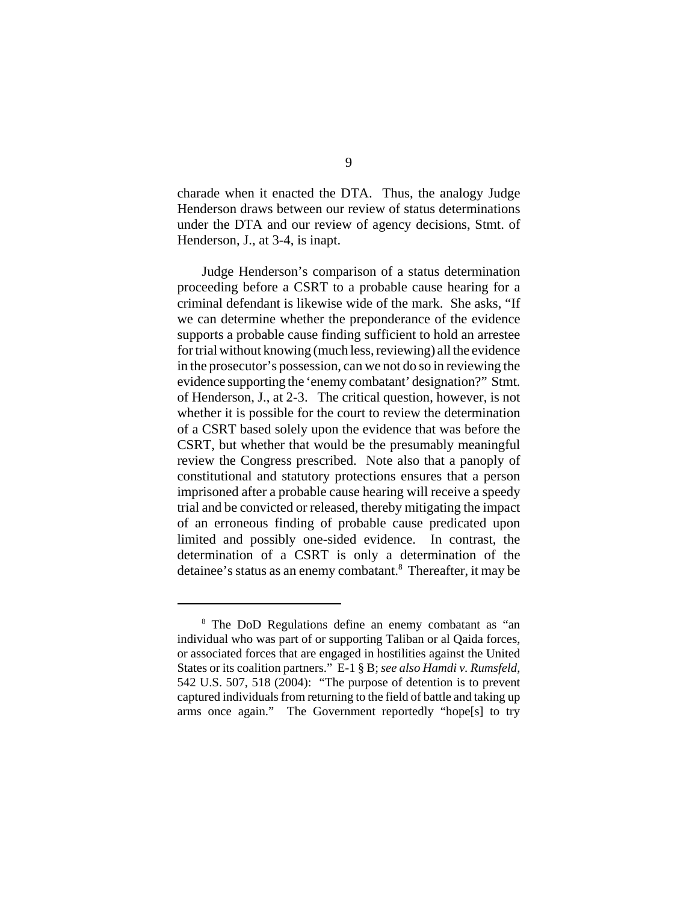charade when it enacted the DTA. Thus, the analogy Judge Henderson draws between our review of status determinations under the DTA and our review of agency decisions, Stmt. of Henderson, J., at 3-4, is inapt.

Judge Henderson's comparison of a status determination proceeding before a CSRT to a probable cause hearing for a criminal defendant is likewise wide of the mark. She asks, "If we can determine whether the preponderance of the evidence supports a probable cause finding sufficient to hold an arrestee for trial without knowing (much less, reviewing) all the evidence in the prosecutor's possession, can we not do so in reviewing the evidence supporting the 'enemy combatant' designation?" Stmt. of Henderson, J., at 2-3. The critical question, however, is not whether it is possible for the court to review the determination of a CSRT based solely upon the evidence that was before the CSRT, but whether that would be the presumably meaningful review the Congress prescribed. Note also that a panoply of constitutional and statutory protections ensures that a person imprisoned after a probable cause hearing will receive a speedy trial and be convicted or released, thereby mitigating the impact of an erroneous finding of probable cause predicated upon limited and possibly one-sided evidence. In contrast, the determination of a CSRT is only a determination of the detainee's status as an enemy combatant.<sup>8</sup> Thereafter, it may be

<sup>&</sup>lt;sup>8</sup> The DoD Regulations define an enemy combatant as "an individual who was part of or supporting Taliban or al Qaida forces, or associated forces that are engaged in hostilities against the United States or its coalition partners." E-1 § B; *see also Hamdi v. Rumsfeld*, 542 U.S. 507, 518 (2004): "The purpose of detention is to prevent captured individuals from returning to the field of battle and taking up arms once again." The Government reportedly "hope[s] to try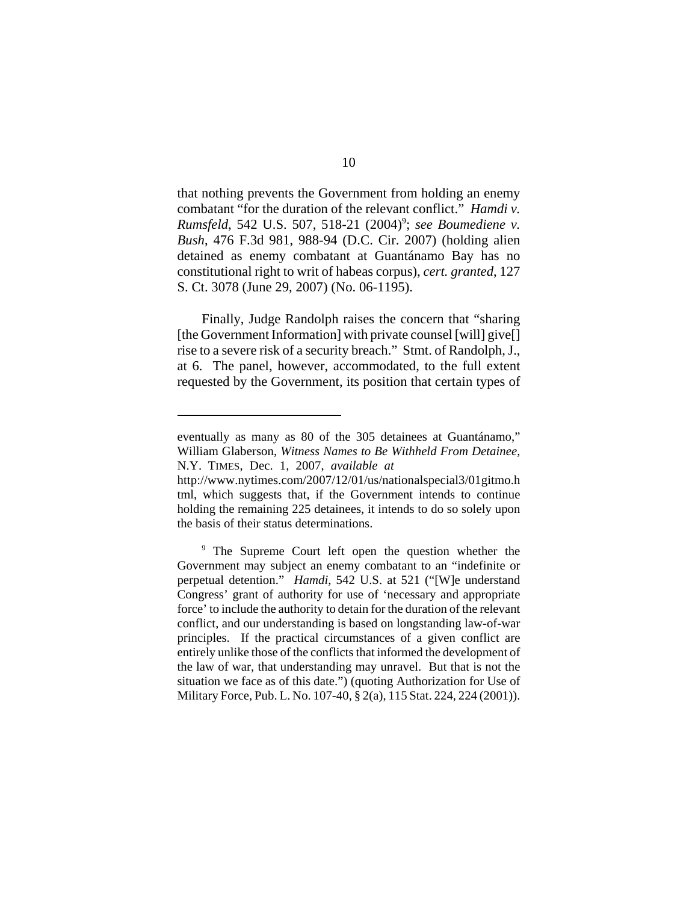that nothing prevents the Government from holding an enemy combatant "for the duration of the relevant conflict." *Hamdi v. Rumsfeld*, 542 U.S. 507, 518-21 (2004)<sup>9</sup>; see Boumediene v. *Bush*, 476 F.3d 981, 988-94 (D.C. Cir. 2007) (holding alien detained as enemy combatant at Guantánamo Bay has no constitutional right to writ of habeas corpus), *cert. granted*, 127 S. Ct. 3078 (June 29, 2007) (No. 06-1195).

Finally, Judge Randolph raises the concern that "sharing [the Government Information] with private counsel [will] give[] rise to a severe risk of a security breach." Stmt. of Randolph, J., at 6. The panel, however, accommodated, to the full extent requested by the Government, its position that certain types of

eventually as many as 80 of the 305 detainees at Guantánamo," William Glaberson, *Witness Names to Be Withheld From Detainee*, N.Y. TIMES, Dec. 1, 2007, *available at* 

http://www.nytimes.com/2007/12/01/us/nationalspecial3/01gitmo.h tml, which suggests that, if the Government intends to continue holding the remaining 225 detainees, it intends to do so solely upon the basis of their status determinations.

<sup>&</sup>lt;sup>9</sup> The Supreme Court left open the question whether the Government may subject an enemy combatant to an "indefinite or perpetual detention." *Hamdi*, 542 U.S. at 521 ("[W]e understand Congress' grant of authority for use of 'necessary and appropriate force' to include the authority to detain for the duration of the relevant conflict, and our understanding is based on longstanding law-of-war principles. If the practical circumstances of a given conflict are entirely unlike those of the conflicts that informed the development of the law of war, that understanding may unravel. But that is not the situation we face as of this date.") (quoting Authorization for Use of Military Force, Pub. L. No. 107-40, § 2(a), 115 Stat. 224, 224 (2001)).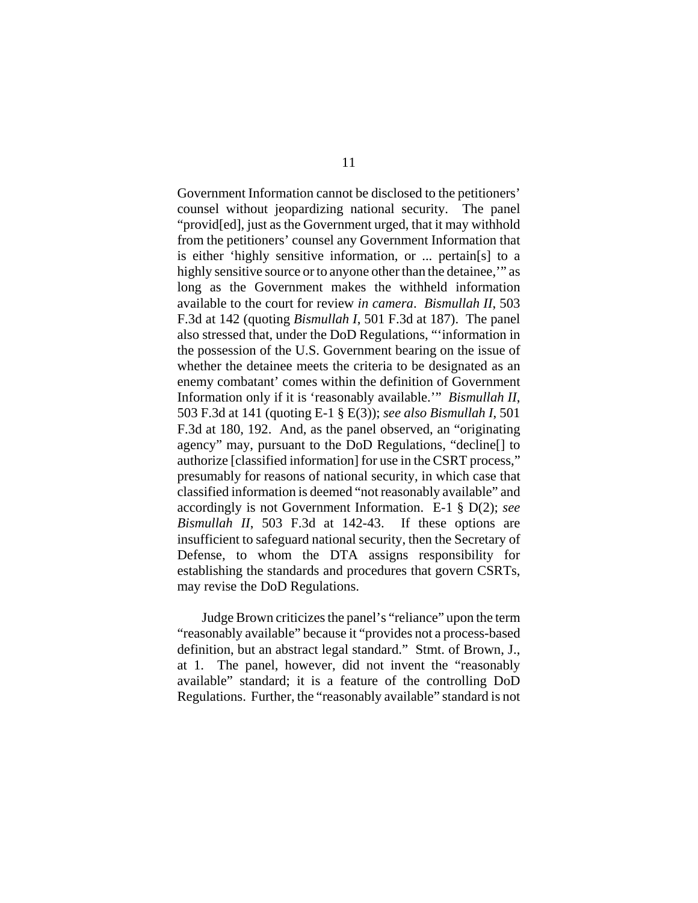Government Information cannot be disclosed to the petitioners' counsel without jeopardizing national security. The panel "provid[ed], just as the Government urged, that it may withhold from the petitioners' counsel any Government Information that is either 'highly sensitive information, or ... pertain[s] to a highly sensitive source or to anyone other than the detainee," as long as the Government makes the withheld information available to the court for review *in camera*. *Bismullah II*, 503 F.3d at 142 (quoting *Bismullah I*, 501 F.3d at 187). The panel also stressed that, under the DoD Regulations, "'information in the possession of the U.S. Government bearing on the issue of whether the detainee meets the criteria to be designated as an enemy combatant' comes within the definition of Government Information only if it is 'reasonably available.'" *Bismullah II*, 503 F.3d at 141 (quoting E-1 § E(3)); *see also Bismullah I*, 501 F.3d at 180, 192. And, as the panel observed, an "originating agency" may, pursuant to the DoD Regulations, "decline[] to authorize [classified information] for use in the CSRT process," presumably for reasons of national security, in which case that classified information is deemed "not reasonably available" and accordingly is not Government Information. E-1 § D(2); *see Bismullah II*, 503 F.3d at 142-43. If these options are insufficient to safeguard national security, then the Secretary of Defense, to whom the DTA assigns responsibility for establishing the standards and procedures that govern CSRTs, may revise the DoD Regulations.

Judge Brown criticizes the panel's "reliance" upon the term "reasonably available" because it "provides not a process-based definition, but an abstract legal standard." Stmt. of Brown, J., at 1. The panel, however, did not invent the "reasonably available" standard; it is a feature of the controlling DoD Regulations. Further, the "reasonably available" standard is not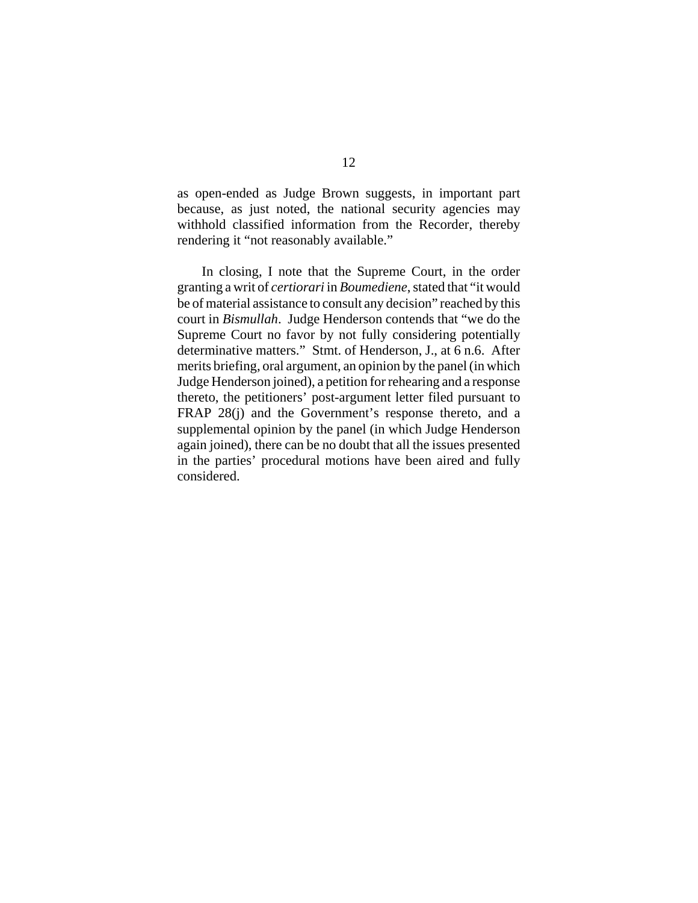as open-ended as Judge Brown suggests, in important part because, as just noted, the national security agencies may withhold classified information from the Recorder, thereby rendering it "not reasonably available."

In closing, I note that the Supreme Court, in the order granting a writ of *certiorari* in *Boumediene*, stated that "it would be of material assistance to consult any decision" reached by this court in *Bismullah*. Judge Henderson contends that "we do the Supreme Court no favor by not fully considering potentially determinative matters." Stmt. of Henderson, J., at 6 n.6. After merits briefing, oral argument, an opinion by the panel (in which Judge Henderson joined), a petition for rehearing and a response thereto, the petitioners' post-argument letter filed pursuant to FRAP 28(j) and the Government's response thereto, and a supplemental opinion by the panel (in which Judge Henderson again joined), there can be no doubt that all the issues presented in the parties' procedural motions have been aired and fully considered.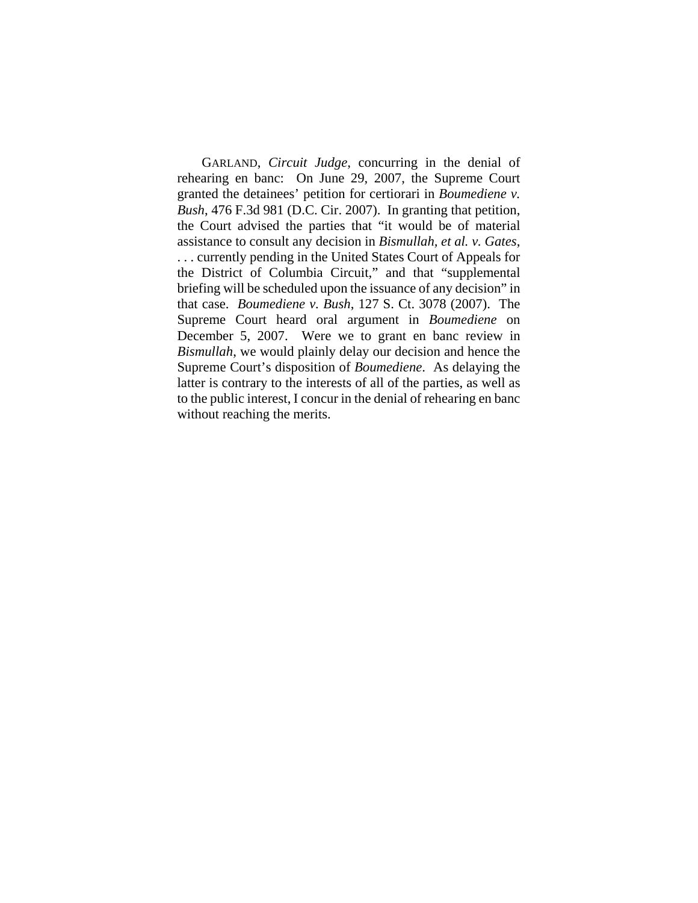GARLAND, *Circuit Judge*, concurring in the denial of rehearing en banc: On June 29, 2007, the Supreme Court granted the detainees' petition for certiorari in *Boumediene v. Bush*, 476 F.3d 981 (D.C. Cir. 2007). In granting that petition, the Court advised the parties that "it would be of material assistance to consult any decision in *Bismullah, et al. v. Gates*, . . . currently pending in the United States Court of Appeals for the District of Columbia Circuit," and that "supplemental briefing will be scheduled upon the issuance of any decision" in that case. *Boumediene v. Bush*, 127 S. Ct. 3078 (2007). The Supreme Court heard oral argument in *Boumediene* on December 5, 2007. Were we to grant en banc review in *Bismullah*, we would plainly delay our decision and hence the Supreme Court's disposition of *Boumediene*. As delaying the latter is contrary to the interests of all of the parties, as well as to the public interest, I concur in the denial of rehearing en banc without reaching the merits.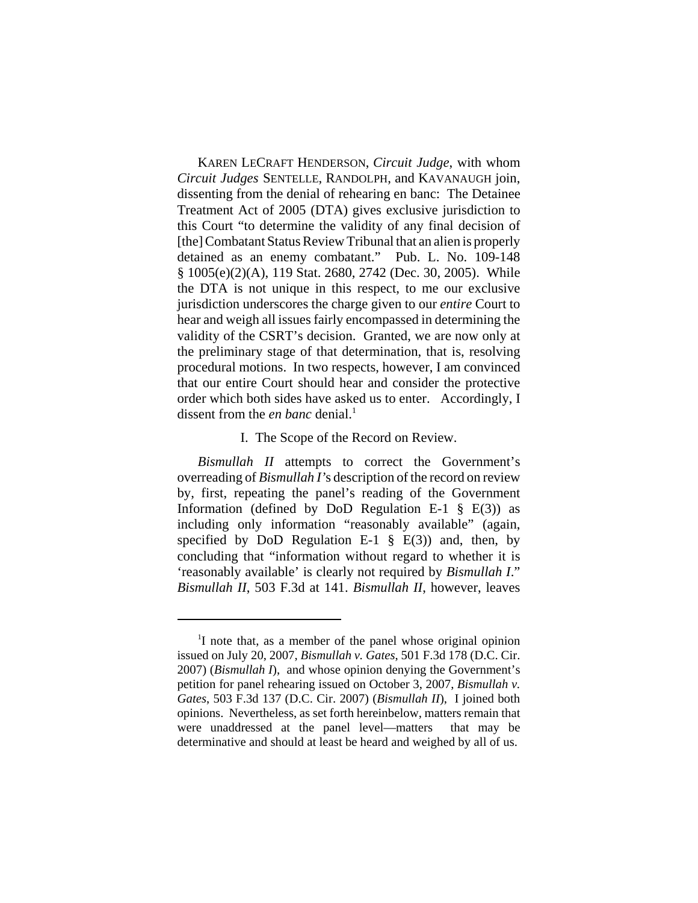KAREN LECRAFT HENDERSON, *Circuit Judge*, with whom *Circuit Judges* SENTELLE, RANDOLPH, and KAVANAUGH join, dissenting from the denial of rehearing en banc: The Detainee Treatment Act of 2005 (DTA) gives exclusive jurisdiction to this Court "to determine the validity of any final decision of [the] Combatant Status Review Tribunal that an alien is properly detained as an enemy combatant." Pub. L. No. 109-148 § 1005(e)(2)(A), 119 Stat. 2680, 2742 (Dec. 30, 2005). While the DTA is not unique in this respect, to me our exclusive jurisdiction underscores the charge given to our *entire* Court to hear and weigh all issues fairly encompassed in determining the validity of the CSRT's decision. Granted, we are now only at the preliminary stage of that determination, that is, resolving procedural motions. In two respects, however, I am convinced that our entire Court should hear and consider the protective order which both sides have asked us to enter. Accordingly, I dissent from the *en banc* denial.<sup>1</sup>

#### I. The Scope of the Record on Review.

*Bismullah II* attempts to correct the Government's overreading of *Bismullah I'*s description of the record on review by, first, repeating the panel's reading of the Government Information (defined by DoD Regulation E-1  $\S$  E(3)) as including only information "reasonably available" (again, specified by DoD Regulation E-1  $\S$  E(3)) and, then, by concluding that "information without regard to whether it is 'reasonably available' is clearly not required by *Bismullah I*." *Bismullah II*, 503 F.3d at 141. *Bismullah II*, however, leaves

<sup>&</sup>lt;sup>1</sup>I note that, as a member of the panel whose original opinion issued on July 20, 2007, *Bismullah v. Gates*, 501 F.3d 178 (D.C. Cir. 2007) (*Bismullah I*), and whose opinion denying the Government's petition for panel rehearing issued on October 3, 2007, *Bismullah v. Gates*, 503 F.3d 137 (D.C. Cir. 2007) (*Bismullah II*), I joined both opinions. Nevertheless, as set forth hereinbelow, matters remain that were unaddressed at the panel level—matters that may be determinative and should at least be heard and weighed by all of us.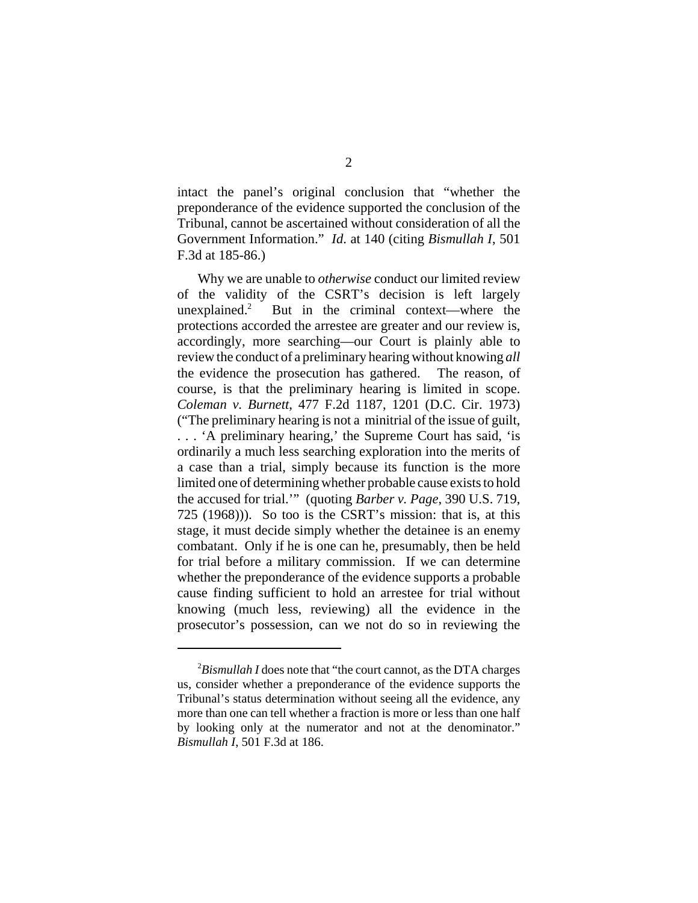intact the panel's original conclusion that "whether the preponderance of the evidence supported the conclusion of the Tribunal, cannot be ascertained without consideration of all the Government Information." *Id*. at 140 (citing *Bismullah I*, 501 F.3d at 185-86.)

Why we are unable to *otherwise* conduct our limited review of the validity of the CSRT's decision is left largely unexplained. $2$  But in the criminal context—where the protections accorded the arrestee are greater and our review is, accordingly, more searching—our Court is plainly able to review the conduct of a preliminary hearing without knowing *all* the evidence the prosecution has gathered. The reason, of course, is that the preliminary hearing is limited in scope. *Coleman v. Burnett*, 477 F.2d 1187, 1201 (D.C. Cir. 1973) ("The preliminary hearing is not a minitrial of the issue of guilt, . . . 'A preliminary hearing,' the Supreme Court has said, 'is ordinarily a much less searching exploration into the merits of a case than a trial, simply because its function is the more limited one of determining whether probable cause exists to hold the accused for trial.'" (quoting *Barber v. Page*, 390 U.S. 719, 725 (1968))). So too is the CSRT's mission: that is, at this stage, it must decide simply whether the detainee is an enemy combatant. Only if he is one can he, presumably, then be held for trial before a military commission. If we can determine whether the preponderance of the evidence supports a probable cause finding sufficient to hold an arrestee for trial without knowing (much less, reviewing) all the evidence in the prosecutor's possession, can we not do so in reviewing the

<sup>&</sup>lt;sup>2</sup>Bismullah I does note that "the court cannot, as the DTA charges us, consider whether a preponderance of the evidence supports the Tribunal's status determination without seeing all the evidence, any more than one can tell whether a fraction is more or less than one half by looking only at the numerator and not at the denominator." *Bismullah I*, 501 F.3d at 186.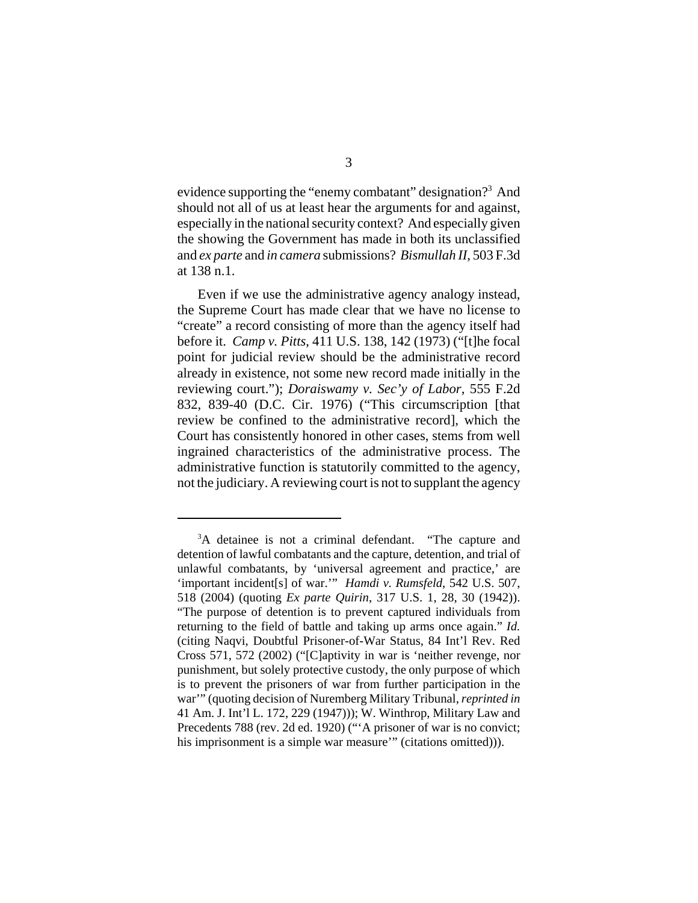evidence supporting the "enemy combatant" designation?<sup>3</sup> And should not all of us at least hear the arguments for and against, especially in the national security context? And especially given the showing the Government has made in both its unclassified and *ex parte* and *in camera* submissions? *Bismullah II*, 503 F.3d at 138 n.1.

 Even if we use the administrative agency analogy instead, the Supreme Court has made clear that we have no license to "create" a record consisting of more than the agency itself had before it. *Camp v. Pitts*, 411 U.S. 138, 142 (1973) ("[t]he focal point for judicial review should be the administrative record already in existence, not some new record made initially in the reviewing court."); *Doraiswamy v. Sec'y of Labor,* 555 F.2d 832, 839-40 (D.C. Cir. 1976) ("This circumscription [that review be confined to the administrative record], which the Court has consistently honored in other cases, stems from well ingrained characteristics of the administrative process. The administrative function is statutorily committed to the agency, not the judiciary. A reviewing court is not to supplant the agency

<sup>&</sup>lt;sup>3</sup>A detainee is not a criminal defendant. "The capture and detention of lawful combatants and the capture, detention, and trial of unlawful combatants, by 'universal agreement and practice,' are 'important incident[s] of war.'" *Hamdi v. Rumsfeld*, 542 U.S. 507, 518 (2004) (quoting *Ex parte Quirin*, 317 U.S. 1, 28, 30 (1942)). "The purpose of detention is to prevent captured individuals from returning to the field of battle and taking up arms once again." *Id.* (citing Naqvi, Doubtful Prisoner-of-War Status, 84 Int'l Rev. Red Cross 571, 572 (2002) ("[C]aptivity in war is 'neither revenge, nor punishment, but solely protective custody, the only purpose of which is to prevent the prisoners of war from further participation in the war'" (quoting decision of Nuremberg Military Tribunal, *reprinted in* 41 Am. J. Int'l L. 172, 229 (1947))); W. Winthrop, Military Law and Precedents 788 (rev. 2d ed. 1920) ("A prisoner of war is no convict; his imprisonment is a simple war measure'" (citations omitted))).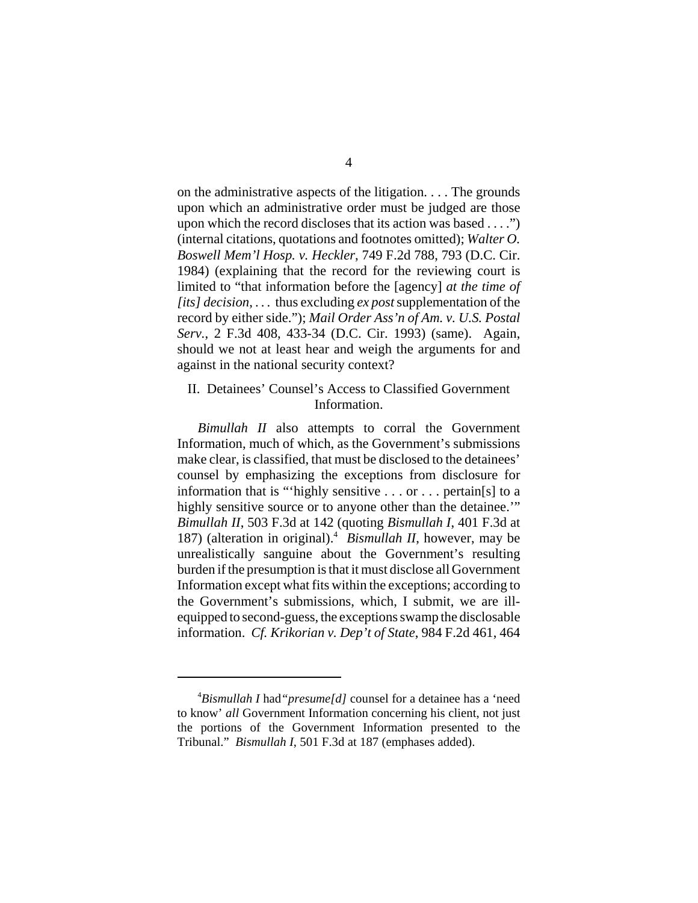on the administrative aspects of the litigation. . . . The grounds upon which an administrative order must be judged are those upon which the record discloses that its action was based . . . .") (internal citations, quotations and footnotes omitted); *Walter O. Boswell Mem'l Hosp. v. Heckler*, 749 F.2d 788, 793 (D.C. Cir. 1984) (explaining that the record for the reviewing court is limited to "that information before the [agency] *at the time of [its] decision*, . . . thus excluding *ex post* supplementation of the record by either side."); *Mail Order Ass'n of Am. v. U.S. Postal Serv.*, 2 F.3d 408, 433-34 (D.C. Cir. 1993) (same). Again, should we not at least hear and weigh the arguments for and against in the national security context?

#### II. Detainees' Counsel's Access to Classified Government Information.

*Bimullah II* also attempts to corral the Government Information, much of which, as the Government's submissions make clear, is classified, that must be disclosed to the detainees' counsel by emphasizing the exceptions from disclosure for information that is "'highly sensitive . . . or . . . pertain[s] to a highly sensitive source or to anyone other than the detainee." *Bimullah II*, 503 F.3d at 142 (quoting *Bismullah I*, 401 F.3d at 187) (alteration in original).<sup>4</sup> Bismullah II, however, may be unrealistically sanguine about the Government's resulting burden if the presumption is that it must disclose all Government Information except what fits within the exceptions; according to the Government's submissions, which, I submit, we are illequipped to second-guess, the exceptions swamp the disclosable information. *Cf. Krikorian v. Dep't of State*, 984 F.2d 461, 464

<sup>4</sup> *Bismullah I* had*"presume[d]* counsel for a detainee has a 'need to know' *all* Government Information concerning his client, not just the portions of the Government Information presented to the Tribunal." *Bismullah I*, 501 F.3d at 187 (emphases added).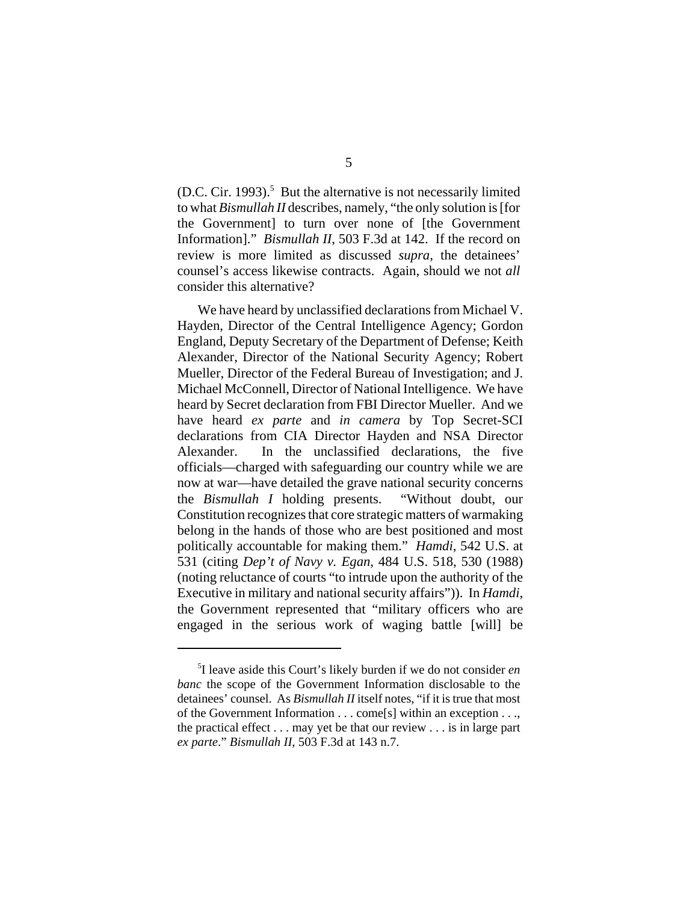$(D.C. Cir. 1993).$ <sup>5</sup> But the alternative is not necessarily limited to what *Bismullah II* describes, namely, "the only solution is [for the Government] to turn over none of [the Government Information]." *Bismullah II*, 503 F.3d at 142. If the record on review is more limited as discussed *supra*, the detainees' counsel's access likewise contracts. Again, should we not *all* consider this alternative?

We have heard by unclassified declarations from Michael V. Hayden, Director of the Central Intelligence Agency; Gordon England, Deputy Secretary of the Department of Defense; Keith Alexander, Director of the National Security Agency; Robert Mueller, Director of the Federal Bureau of Investigation; and J. Michael McConnell, Director of National Intelligence. We have heard by Secret declaration from FBI Director Mueller. And we have heard *ex parte* and *in camera* by Top Secret-SCI declarations from CIA Director Hayden and NSA Director Alexander. In the unclassified declarations, the five officials—charged with safeguarding our country while we are now at war—have detailed the grave national security concerns the *Bismullah I* holding presents. "Without doubt, our Constitution recognizes that core strategic matters of warmaking belong in the hands of those who are best positioned and most politically accountable for making them." *Hamdi*, 542 U.S. at 531 (citing *Dep't of Navy v. Egan*, 484 U.S. 518, 530 (1988) (noting reluctance of courts "to intrude upon the authority of the Executive in military and national security affairs")). In *Hamdi*, the Government represented that "military officers who are engaged in the serious work of waging battle [will] be

<sup>5</sup> I leave aside this Court's likely burden if we do not consider *en banc* the scope of the Government Information disclosable to the detainees' counsel. As *Bismullah II* itself notes, "if it is true that most of the Government Information . . . come[s] within an exception . . ., the practical effect . . . may yet be that our review . . . is in large part *ex parte*." *Bismullah II*, 503 F.3d at 143 n.7.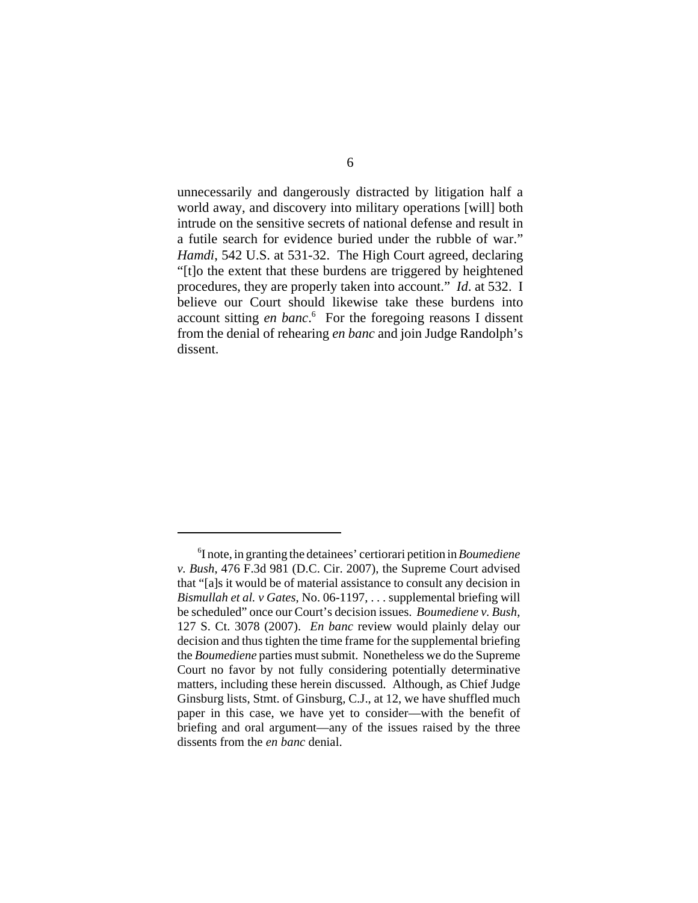unnecessarily and dangerously distracted by litigation half a world away, and discovery into military operations [will] both intrude on the sensitive secrets of national defense and result in a futile search for evidence buried under the rubble of war." *Hamdi*, 542 U.S. at 531-32. The High Court agreed, declaring "[t]o the extent that these burdens are triggered by heightened procedures, they are properly taken into account." *Id*. at 532. I believe our Court should likewise take these burdens into account sitting *en banc*. 6 For the foregoing reasons I dissent from the denial of rehearing *en banc* and join Judge Randolph's dissent.

<sup>6</sup> I note, in granting the detainees' certiorari petition in *Boumediene v. Bush*, 476 F.3d 981 (D.C. Cir. 2007), the Supreme Court advised that "[a]s it would be of material assistance to consult any decision in *Bismullah et al. v Gates*, No. 06-1197, . . . supplemental briefing will be scheduled" once our Court's decision issues. *Boumediene v. Bush*, 127 S. Ct. 3078 (2007). *En banc* review would plainly delay our decision and thus tighten the time frame for the supplemental briefing the *Boumediene* parties must submit. Nonetheless we do the Supreme Court no favor by not fully considering potentially determinative matters, including these herein discussed. Although, as Chief Judge Ginsburg lists, Stmt. of Ginsburg, C.J., at 12, we have shuffled much paper in this case, we have yet to consider—with the benefit of briefing and oral argument—any of the issues raised by the three dissents from the *en banc* denial.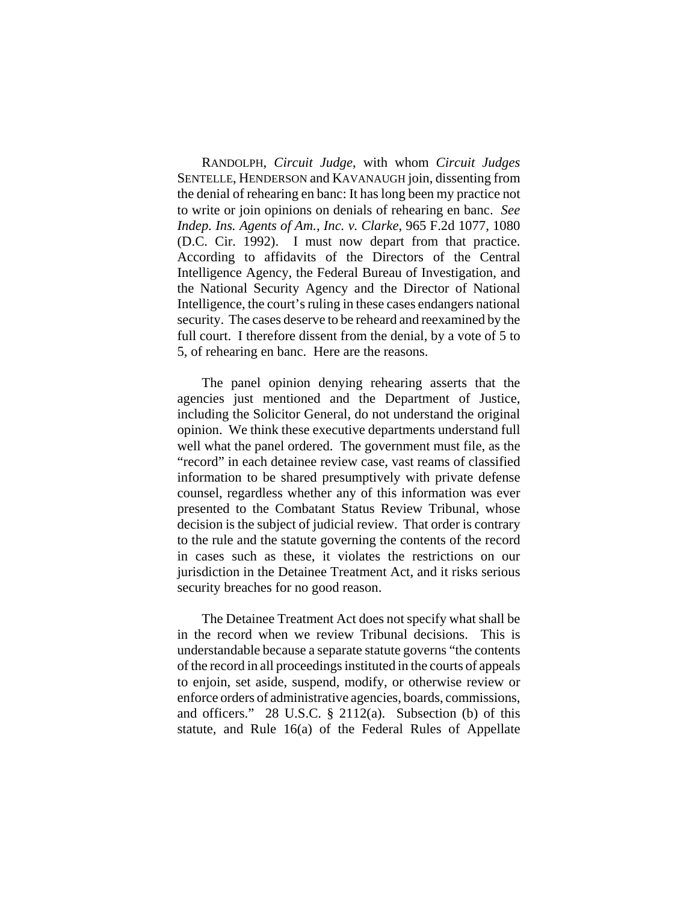RANDOLPH, *Circuit Judge*, with whom *Circuit Judges* SENTELLE, HENDERSON and KAVANAUGH join, dissenting from the denial of rehearing en banc: It has long been my practice not to write or join opinions on denials of rehearing en banc. *See Indep. Ins. Agents of Am., Inc. v. Clarke*, 965 F.2d 1077, 1080 (D.C. Cir. 1992). I must now depart from that practice. According to affidavits of the Directors of the Central Intelligence Agency, the Federal Bureau of Investigation, and the National Security Agency and the Director of National Intelligence, the court's ruling in these cases endangers national security. The cases deserve to be reheard and reexamined by the full court. I therefore dissent from the denial, by a vote of 5 to 5, of rehearing en banc. Here are the reasons.

The panel opinion denying rehearing asserts that the agencies just mentioned and the Department of Justice, including the Solicitor General, do not understand the original opinion. We think these executive departments understand full well what the panel ordered. The government must file, as the "record" in each detainee review case, vast reams of classified information to be shared presumptively with private defense counsel, regardless whether any of this information was ever presented to the Combatant Status Review Tribunal, whose decision is the subject of judicial review. That order is contrary to the rule and the statute governing the contents of the record in cases such as these, it violates the restrictions on our jurisdiction in the Detainee Treatment Act, and it risks serious security breaches for no good reason.

The Detainee Treatment Act does not specify what shall be in the record when we review Tribunal decisions. This is understandable because a separate statute governs "the contents of the record in all proceedings instituted in the courts of appeals to enjoin, set aside, suspend, modify, or otherwise review or enforce orders of administrative agencies, boards, commissions, and officers." 28 U.S.C. § 2112(a). Subsection (b) of this statute, and Rule 16(a) of the Federal Rules of Appellate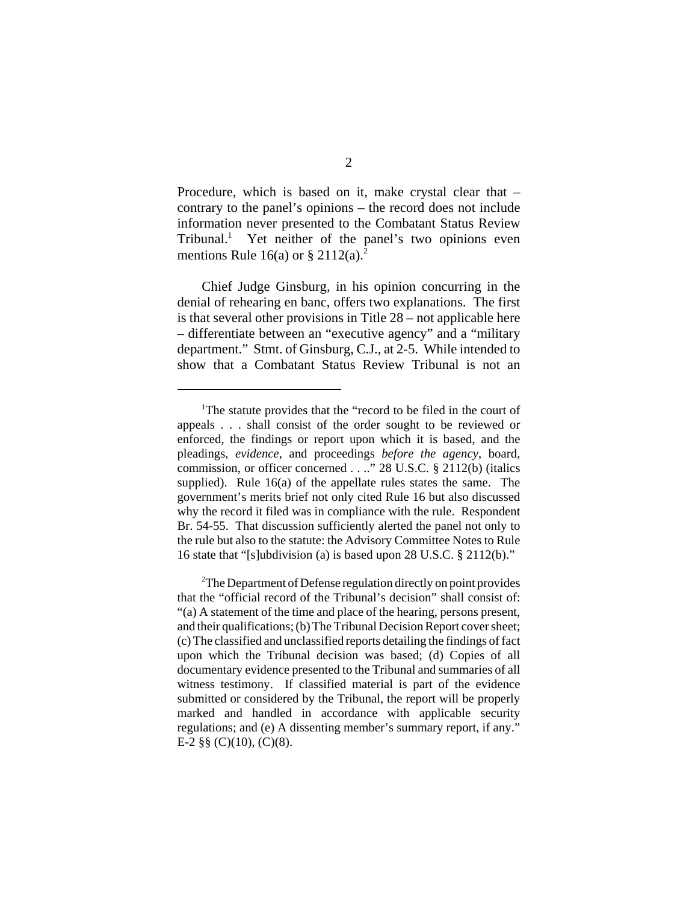Procedure, which is based on it, make crystal clear that – contrary to the panel's opinions – the record does not include information never presented to the Combatant Status Review Tribunal.<sup>1</sup> Yet neither of the panel's two opinions even mentions Rule 16(a) or  $\S 2112(a)$ <sup>2</sup>

Chief Judge Ginsburg, in his opinion concurring in the denial of rehearing en banc, offers two explanations. The first is that several other provisions in Title 28 – not applicable here – differentiate between an "executive agency" and a "military department." Stmt. of Ginsburg, C.J., at 2-5. While intended to show that a Combatant Status Review Tribunal is not an

<sup>&</sup>lt;sup>1</sup>The statute provides that the "record to be filed in the court of appeals . . . shall consist of the order sought to be reviewed or enforced, the findings or report upon which it is based, and the pleadings, *evidence*, and proceedings *before the agency*, board, commission, or officer concerned . . .." 28 U.S.C. § 2112(b) (italics supplied). Rule 16(a) of the appellate rules states the same. The government's merits brief not only cited Rule 16 but also discussed why the record it filed was in compliance with the rule. Respondent Br. 54-55. That discussion sufficiently alerted the panel not only to the rule but also to the statute: the Advisory Committee Notes to Rule 16 state that "[s]ubdivision (a) is based upon 28 U.S.C. § 2112(b)."

<sup>&</sup>lt;sup>2</sup>The Department of Defense regulation directly on point provides that the "official record of the Tribunal's decision" shall consist of: "(a) A statement of the time and place of the hearing, persons present, and their qualifications; (b) The Tribunal Decision Report cover sheet; (c) The classified and unclassified reports detailing the findings of fact upon which the Tribunal decision was based; (d) Copies of all documentary evidence presented to the Tribunal and summaries of all witness testimony. If classified material is part of the evidence submitted or considered by the Tribunal, the report will be properly marked and handled in accordance with applicable security regulations; and (e) A dissenting member's summary report, if any." E-2 §§ (C)(10), (C)(8).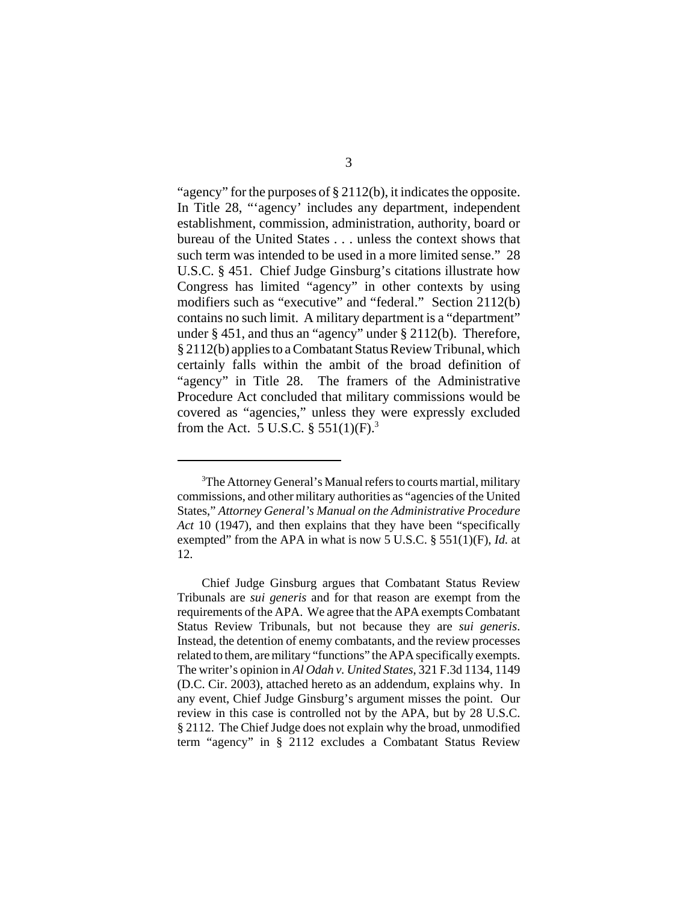"agency" for the purposes of § 2112(b), it indicates the opposite. In Title 28, "'agency' includes any department, independent establishment, commission, administration, authority, board or bureau of the United States . . . unless the context shows that such term was intended to be used in a more limited sense." 28 U.S.C. § 451. Chief Judge Ginsburg's citations illustrate how Congress has limited "agency" in other contexts by using modifiers such as "executive" and "federal." Section 2112(b) contains no such limit. A military department is a "department" under § 451, and thus an "agency" under § 2112(b). Therefore, § 2112(b) applies to a Combatant Status Review Tribunal, which certainly falls within the ambit of the broad definition of "agency" in Title 28. The framers of the Administrative Procedure Act concluded that military commissions would be covered as "agencies," unless they were expressly excluded from the Act. 5 U.S.C.  $\S 551(1)$ (F).<sup>3</sup>

<sup>&</sup>lt;sup>3</sup>The Attorney General's Manual refers to courts martial, military commissions, and other military authorities as "agencies of the United States," *Attorney General's Manual on the Administrative Procedure Act* 10 (1947), and then explains that they have been "specifically exempted" from the APA in what is now 5 U.S.C. § 551(1)(F), *Id.* at 12.

Chief Judge Ginsburg argues that Combatant Status Review Tribunals are *sui generis* and for that reason are exempt from the requirements of the APA. We agree that the APA exempts Combatant Status Review Tribunals, but not because they are *sui generis*. Instead, the detention of enemy combatants, and the review processes related to them, are military "functions" the APA specifically exempts. The writer's opinion in *Al Odah v. United States*, 321 F.3d 1134, 1149 (D.C. Cir. 2003), attached hereto as an addendum, explains why. In any event, Chief Judge Ginsburg's argument misses the point. Our review in this case is controlled not by the APA, but by 28 U.S.C. § 2112. The Chief Judge does not explain why the broad, unmodified term "agency" in § 2112 excludes a Combatant Status Review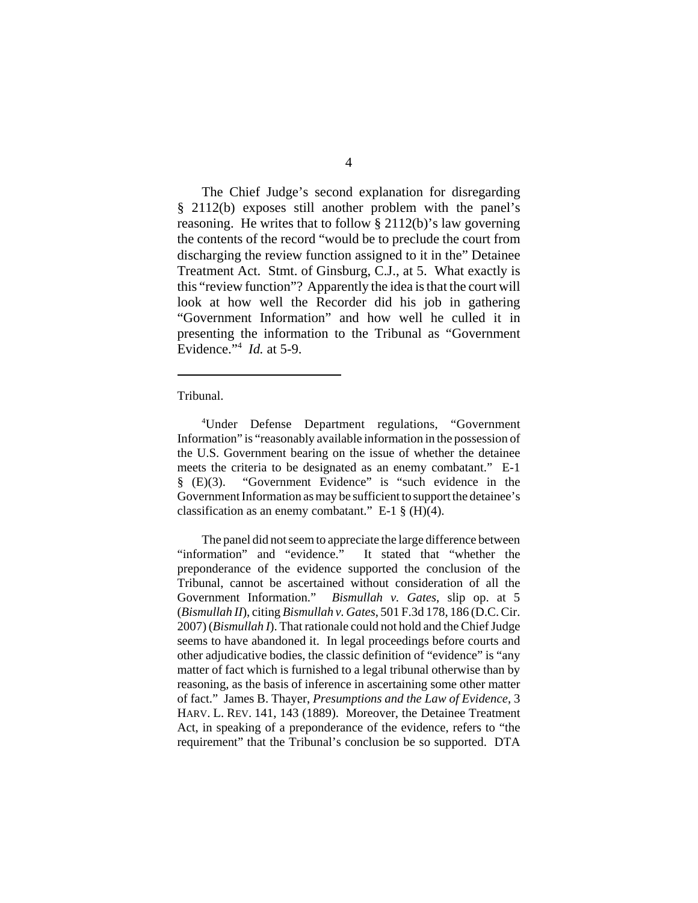The Chief Judge's second explanation for disregarding § 2112(b) exposes still another problem with the panel's reasoning. He writes that to follow § 2112(b)'s law governing the contents of the record "would be to preclude the court from discharging the review function assigned to it in the" Detainee Treatment Act. Stmt. of Ginsburg, C.J., at 5. What exactly is this "review function"? Apparently the idea is that the court will look at how well the Recorder did his job in gathering "Government Information" and how well he culled it in presenting the information to the Tribunal as "Government Evidence."4 *Id.* at 5-9.

Tribunal.

4 Under Defense Department regulations, "Government Information" is "reasonably available information in the possession of the U.S. Government bearing on the issue of whether the detainee meets the criteria to be designated as an enemy combatant." E-1 § (E)(3). "Government Evidence" is "such evidence in the Government Information as may be sufficient to support the detainee's classification as an enemy combatant." E-1  $\S$  (H)(4).

The panel did not seem to appreciate the large difference between "information" and "evidence." It stated that "whether the preponderance of the evidence supported the conclusion of the Tribunal, cannot be ascertained without consideration of all the Government Information." *Bismullah v. Gates*, slip op. at 5 (*Bismullah II*), citing *Bismullah v. Gates*, 501 F.3d 178, 186 (D.C. Cir. 2007) (*Bismullah I*). That rationale could not hold and the Chief Judge seems to have abandoned it. In legal proceedings before courts and other adjudicative bodies, the classic definition of "evidence" is "any matter of fact which is furnished to a legal tribunal otherwise than by reasoning, as the basis of inference in ascertaining some other matter of fact." James B. Thayer, *Presumptions and the Law of Evidence*, 3 HARV. L. REV. 141, 143 (1889). Moreover, the Detainee Treatment Act, in speaking of a preponderance of the evidence, refers to "the requirement" that the Tribunal's conclusion be so supported. DTA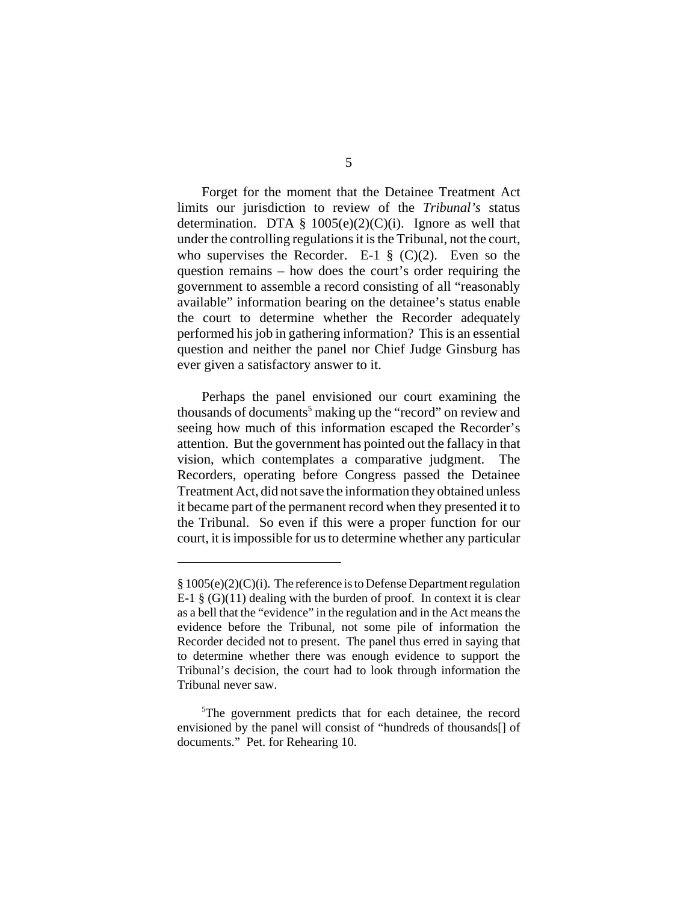Forget for the moment that the Detainee Treatment Act limits our jurisdiction to review of the *Tribunal's* status determination. DTA  $\S$  1005(e)(2)(C)(i). Ignore as well that under the controlling regulations it is the Tribunal, not the court, who supervises the Recorder. E-1  $\S$  (C)(2). Even so the question remains – how does the court's order requiring the government to assemble a record consisting of all "reasonably available" information bearing on the detainee's status enable the court to determine whether the Recorder adequately performed his job in gathering information? This is an essential question and neither the panel nor Chief Judge Ginsburg has ever given a satisfactory answer to it.

Perhaps the panel envisioned our court examining the thousands of documents<sup>5</sup> making up the "record" on review and seeing how much of this information escaped the Recorder's attention. But the government has pointed out the fallacy in that vision, which contemplates a comparative judgment. The Recorders, operating before Congress passed the Detainee Treatment Act, did not save the information they obtained unless it became part of the permanent record when they presented it to the Tribunal. So even if this were a proper function for our court, it is impossible for us to determine whether any particular

<sup>§ 1005(</sup>e)(2)(C)(i). The reference is to Defense Department regulation E-1  $\S$  (G)(11) dealing with the burden of proof. In context it is clear as a bell that the "evidence" in the regulation and in the Act means the evidence before the Tribunal, not some pile of information the Recorder decided not to present. The panel thus erred in saying that to determine whether there was enough evidence to support the Tribunal's decision, the court had to look through information the Tribunal never saw.

<sup>&</sup>lt;sup>5</sup>The government predicts that for each detainee, the record envisioned by the panel will consist of "hundreds of thousands[] of documents." Pet. for Rehearing 10.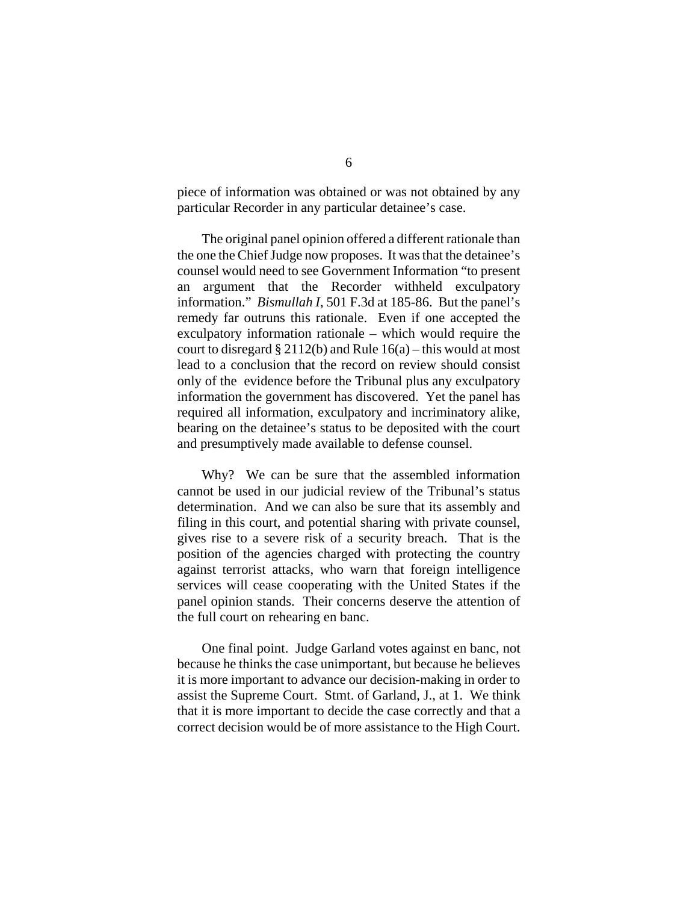piece of information was obtained or was not obtained by any particular Recorder in any particular detainee's case.

The original panel opinion offered a different rationale than the one the Chief Judge now proposes. It was that the detainee's counsel would need to see Government Information "to present an argument that the Recorder withheld exculpatory information." *Bismullah I*, 501 F.3d at 185-86. But the panel's remedy far outruns this rationale. Even if one accepted the exculpatory information rationale – which would require the court to disregard  $\S 2112(b)$  and Rule 16(a) – this would at most lead to a conclusion that the record on review should consist only of the evidence before the Tribunal plus any exculpatory information the government has discovered. Yet the panel has required all information, exculpatory and incriminatory alike, bearing on the detainee's status to be deposited with the court and presumptively made available to defense counsel.

Why? We can be sure that the assembled information cannot be used in our judicial review of the Tribunal's status determination. And we can also be sure that its assembly and filing in this court, and potential sharing with private counsel, gives rise to a severe risk of a security breach. That is the position of the agencies charged with protecting the country against terrorist attacks, who warn that foreign intelligence services will cease cooperating with the United States if the panel opinion stands. Their concerns deserve the attention of the full court on rehearing en banc.

One final point. Judge Garland votes against en banc, not because he thinks the case unimportant, but because he believes it is more important to advance our decision-making in order to assist the Supreme Court. Stmt. of Garland, J., at 1. We think that it is more important to decide the case correctly and that a correct decision would be of more assistance to the High Court.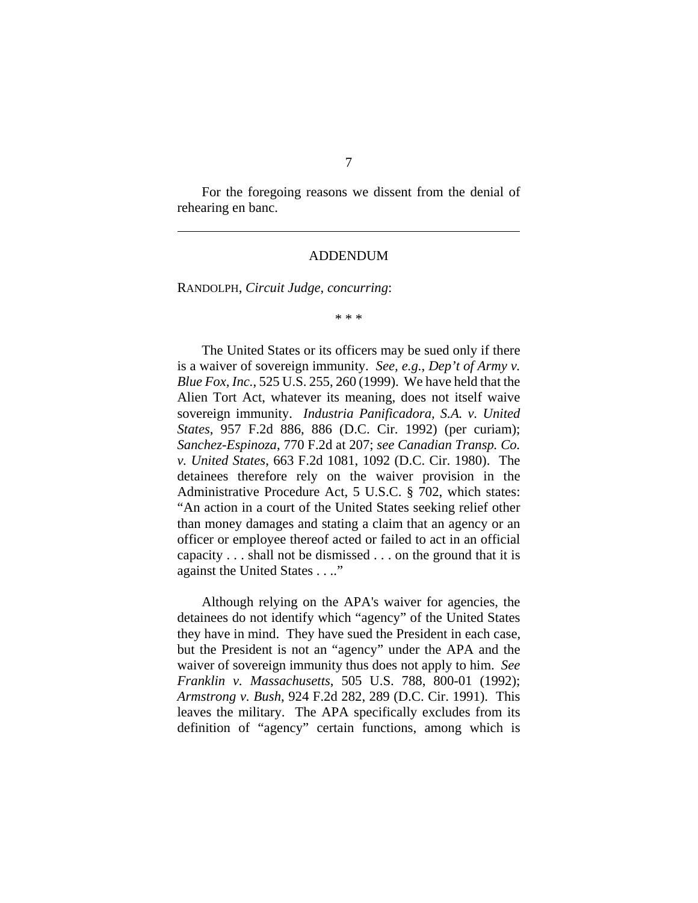For the foregoing reasons we dissent from the denial of rehearing en banc.

#### ADDENDUM

RANDOLPH, *Circuit Judge*, *concurring*:

\* \* \*

The United States or its officers may be sued only if there is a waiver of sovereign immunity. *See, e.g.*, *Dep't of Army v. Blue Fox, Inc.*, 525 U.S. 255, 260 (1999). We have held that the Alien Tort Act, whatever its meaning, does not itself waive sovereign immunity. *Industria Panificadora, S.A. v. United States*, 957 F.2d 886, 886 (D.C. Cir. 1992) (per curiam); *Sanchez-Espinoza*, 770 F.2d at 207; *see Canadian Transp. Co. v. United States*, 663 F.2d 1081, 1092 (D.C. Cir. 1980). The detainees therefore rely on the waiver provision in the Administrative Procedure Act, 5 U.S.C. § 702, which states: "An action in a court of the United States seeking relief other than money damages and stating a claim that an agency or an officer or employee thereof acted or failed to act in an official capacity . . . shall not be dismissed . . . on the ground that it is against the United States . . .."

Although relying on the APA's waiver for agencies, the detainees do not identify which "agency" of the United States they have in mind. They have sued the President in each case, but the President is not an "agency" under the APA and the waiver of sovereign immunity thus does not apply to him. *See Franklin v. Massachusetts*, 505 U.S. 788, 800-01 (1992); *Armstrong v. Bush*, 924 F.2d 282, 289 (D.C. Cir. 1991). This leaves the military. The APA specifically excludes from its definition of "agency" certain functions, among which is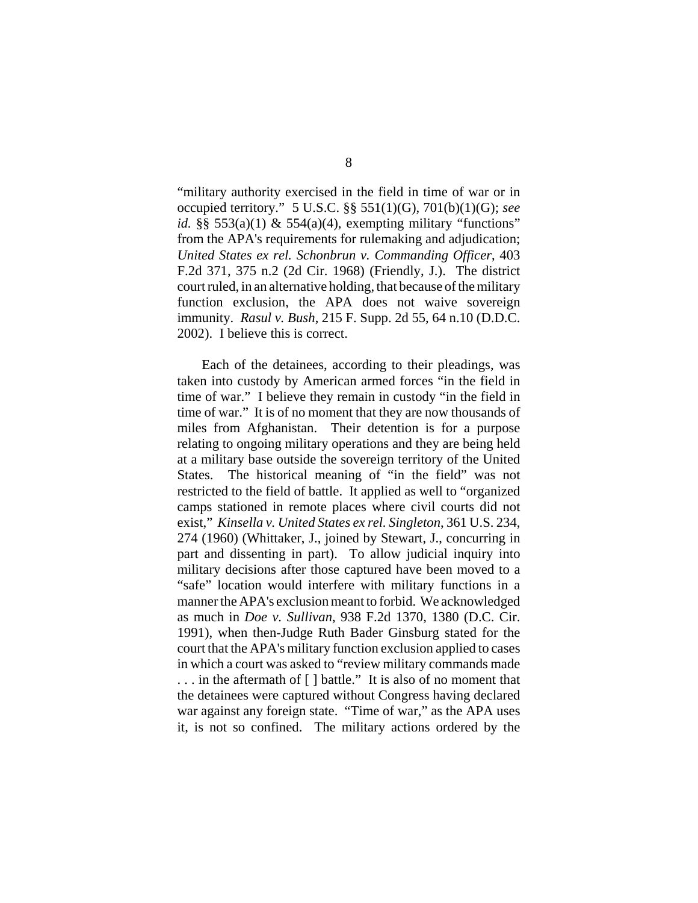"military authority exercised in the field in time of war or in occupied territory." 5 U.S.C. §§ 551(1)(G), 701(b)(1)(G); *see id.* §§ 553(a)(1) & 554(a)(4), exempting military "functions" from the APA's requirements for rulemaking and adjudication; *United States ex rel. Schonbrun v. Commanding Officer*, 403 F.2d 371, 375 n.2 (2d Cir. 1968) (Friendly, J.). The district court ruled, in an alternative holding, that because of the military function exclusion, the APA does not waive sovereign immunity. *Rasul v. Bush*, 215 F. Supp. 2d 55, 64 n.10 (D.D.C. 2002). I believe this is correct.

Each of the detainees, according to their pleadings, was taken into custody by American armed forces "in the field in time of war." I believe they remain in custody "in the field in time of war." It is of no moment that they are now thousands of miles from Afghanistan. Their detention is for a purpose relating to ongoing military operations and they are being held at a military base outside the sovereign territory of the United States. The historical meaning of "in the field" was not restricted to the field of battle. It applied as well to "organized camps stationed in remote places where civil courts did not exist," *Kinsella v. United States ex rel. Singleton*, 361 U.S. 234, 274 (1960) (Whittaker, J., joined by Stewart, J., concurring in part and dissenting in part). To allow judicial inquiry into military decisions after those captured have been moved to a "safe" location would interfere with military functions in a manner the APA's exclusion meant to forbid. We acknowledged as much in *Doe v. Sullivan*, 938 F.2d 1370, 1380 (D.C. Cir. 1991), when then-Judge Ruth Bader Ginsburg stated for the court that the APA's military function exclusion applied to cases in which a court was asked to "review military commands made . . . in the aftermath of [ ] battle." It is also of no moment that the detainees were captured without Congress having declared war against any foreign state. "Time of war," as the APA uses it, is not so confined. The military actions ordered by the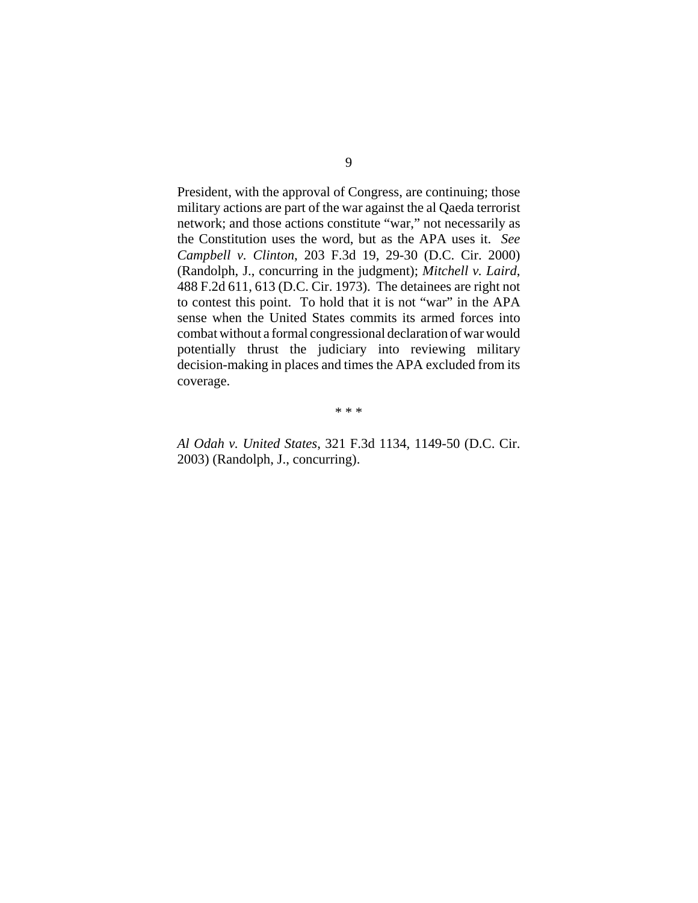President, with the approval of Congress, are continuing; those military actions are part of the war against the al Qaeda terrorist network; and those actions constitute "war," not necessarily as the Constitution uses the word, but as the APA uses it. *See Campbell v. Clinton*, 203 F.3d 19, 29-30 (D.C. Cir. 2000) (Randolph, J., concurring in the judgment); *Mitchell v. Laird*, 488 F.2d 611, 613 (D.C. Cir. 1973). The detainees are right not to contest this point. To hold that it is not "war" in the APA sense when the United States commits its armed forces into combat without a formal congressional declaration of war would potentially thrust the judiciary into reviewing military decision-making in places and times the APA excluded from its coverage.

\* \* \*

*Al Odah v. United States*, 321 F.3d 1134, 1149-50 (D.C. Cir. 2003) (Randolph, J., concurring).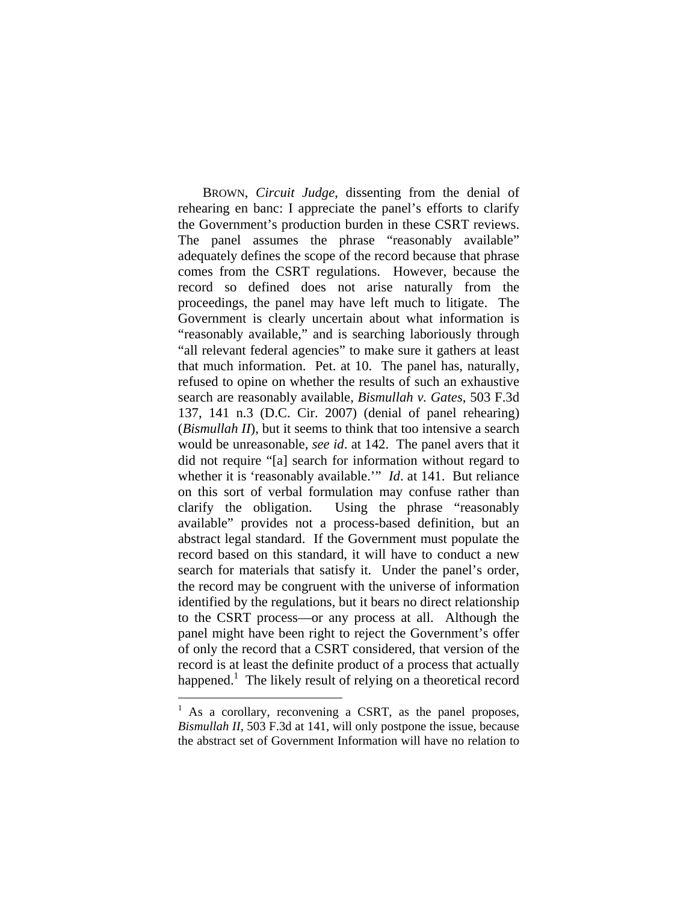BROWN, *Circuit Judge*, dissenting from the denial of rehearing en banc: I appreciate the panel's efforts to clarify the Government's production burden in these CSRT reviews. The panel assumes the phrase "reasonably available" adequately defines the scope of the record because that phrase comes from the CSRT regulations. However, because the record so defined does not arise naturally from the proceedings, the panel may have left much to litigate. The Government is clearly uncertain about what information is "reasonably available," and is searching laboriously through "all relevant federal agencies" to make sure it gathers at least that much information. Pet. at 10. The panel has, naturally, refused to opine on whether the results of such an exhaustive search are reasonably available, *Bismullah v. Gates*, 503 F.3d 137, 141 n.3 (D.C. Cir. 2007) (denial of panel rehearing) (*Bismullah II*), but it seems to think that too intensive a search would be unreasonable, *see id*. at 142. The panel avers that it did not require "[a] search for information without regard to whether it is 'reasonably available.'" *Id.* at 141. But reliance on this sort of verbal formulation may confuse rather than clarify the obligation. Using the phrase "reasonably available" provides not a process-based definition, but an abstract legal standard. If the Government must populate the record based on this standard, it will have to conduct a new search for materials that satisfy it. Under the panel's order, the record may be congruent with the universe of information identified by the regulations, but it bears no direct relationship to the CSRT process—or any process at all. Although the panel might have been right to reject the Government's offer of only the record that a CSRT considered, that version of the record is at least the definite product of a process that actually happened.<sup>1</sup> The likely result of relying on a theoretical record

 $\overline{a}$ 

<sup>&</sup>lt;sup>1</sup> As a corollary, reconvening a CSRT, as the panel proposes, *Bismullah II*, 503 F.3d at 141, will only postpone the issue, because the abstract set of Government Information will have no relation to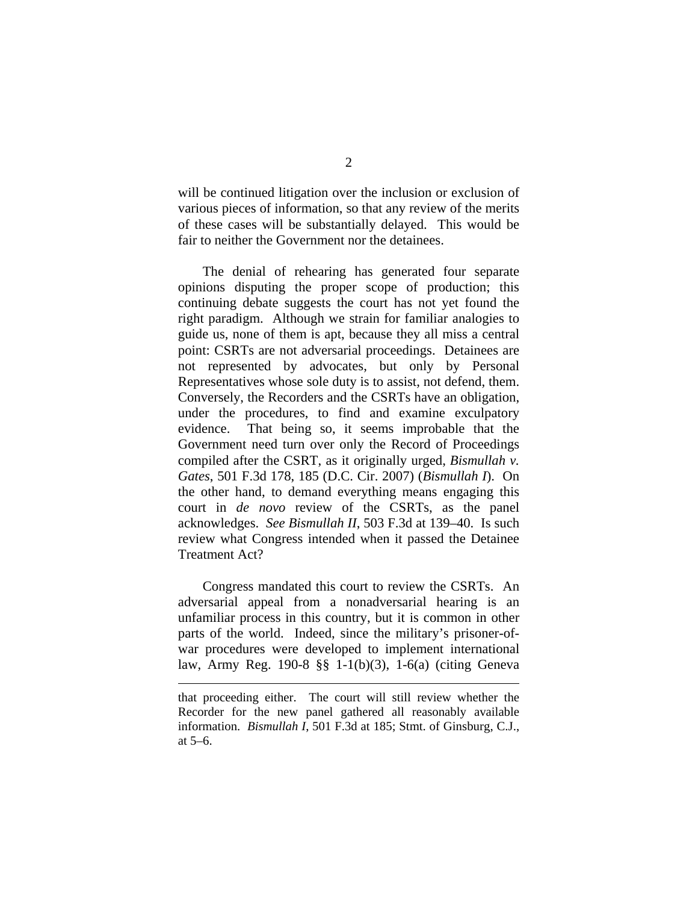will be continued litigation over the inclusion or exclusion of various pieces of information, so that any review of the merits of these cases will be substantially delayed. This would be fair to neither the Government nor the detainees.

 The denial of rehearing has generated four separate opinions disputing the proper scope of production; this continuing debate suggests the court has not yet found the right paradigm. Although we strain for familiar analogies to guide us, none of them is apt, because they all miss a central point: CSRTs are not adversarial proceedings. Detainees are not represented by advocates, but only by Personal Representatives whose sole duty is to assist, not defend, them. Conversely, the Recorders and the CSRTs have an obligation, under the procedures, to find and examine exculpatory evidence. That being so, it seems improbable that the Government need turn over only the Record of Proceedings compiled after the CSRT, as it originally urged, *Bismullah v. Gates*, 501 F.3d 178, 185 (D.C. Cir. 2007) (*Bismullah I*). On the other hand, to demand everything means engaging this court in *de novo* review of the CSRTs, as the panel acknowledges. *See Bismullah II*, 503 F.3d at 139–40. Is such review what Congress intended when it passed the Detainee Treatment Act?

 Congress mandated this court to review the CSRTs. An adversarial appeal from a nonadversarial hearing is an unfamiliar process in this country, but it is common in other parts of the world. Indeed, since the military's prisoner-ofwar procedures were developed to implement international law, Army Reg. 190-8 §§ 1-1(b)(3), 1-6(a) (citing Geneva

<u>.</u>

that proceeding either. The court will still review whether the Recorder for the new panel gathered all reasonably available information. *Bismullah I*, 501 F.3d at 185; Stmt. of Ginsburg, C.J., at 5–6.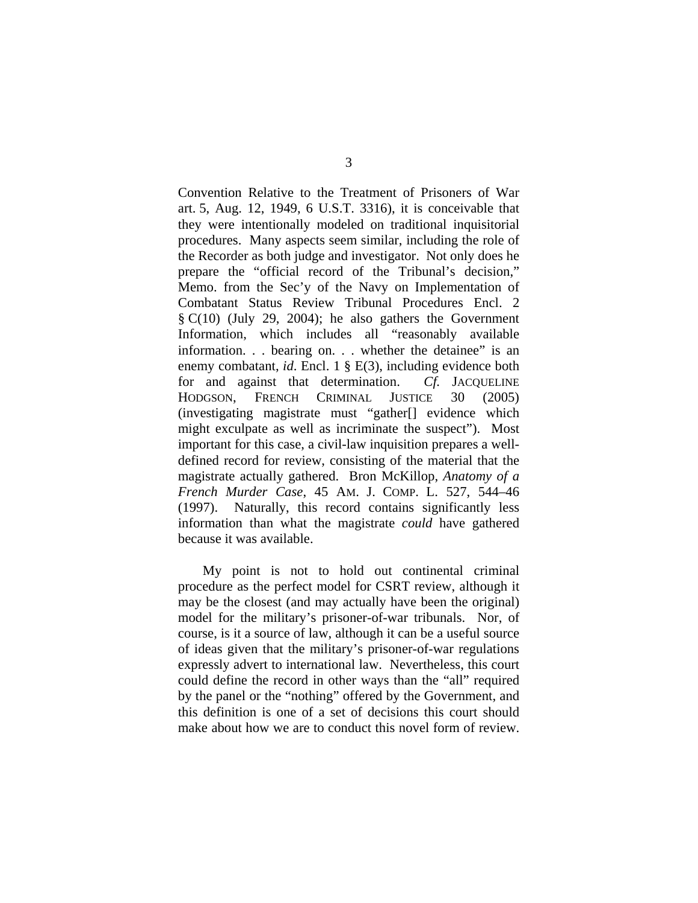Convention Relative to the Treatment of Prisoners of War art. 5, Aug. 12, 1949, 6 U.S.T. 3316), it is conceivable that they were intentionally modeled on traditional inquisitorial procedures. Many aspects seem similar, including the role of the Recorder as both judge and investigator. Not only does he prepare the "official record of the Tribunal's decision," Memo. from the Sec'y of the Navy on Implementation of Combatant Status Review Tribunal Procedures Encl. 2 § C(10) (July 29, 2004); he also gathers the Government Information, which includes all "reasonably available information. . . bearing on. . . whether the detainee" is an enemy combatant, *id*. Encl. 1 § E(3), including evidence both for and against that determination. *Cf.* JACQUELINE HODGSON, FRENCH CRIMINAL JUSTICE 30 (2005) (investigating magistrate must "gather[] evidence which might exculpate as well as incriminate the suspect"). Most important for this case, a civil-law inquisition prepares a welldefined record for review, consisting of the material that the magistrate actually gathered. Bron McKillop, *Anatomy of a French Murder Case*, 45 AM. J. COMP. L. 527, 544–46 (1997). Naturally, this record contains significantly less information than what the magistrate *could* have gathered because it was available.

 My point is not to hold out continental criminal procedure as the perfect model for CSRT review, although it may be the closest (and may actually have been the original) model for the military's prisoner-of-war tribunals. Nor, of course, is it a source of law, although it can be a useful source of ideas given that the military's prisoner-of-war regulations expressly advert to international law. Nevertheless, this court could define the record in other ways than the "all" required by the panel or the "nothing" offered by the Government, and this definition is one of a set of decisions this court should make about how we are to conduct this novel form of review.